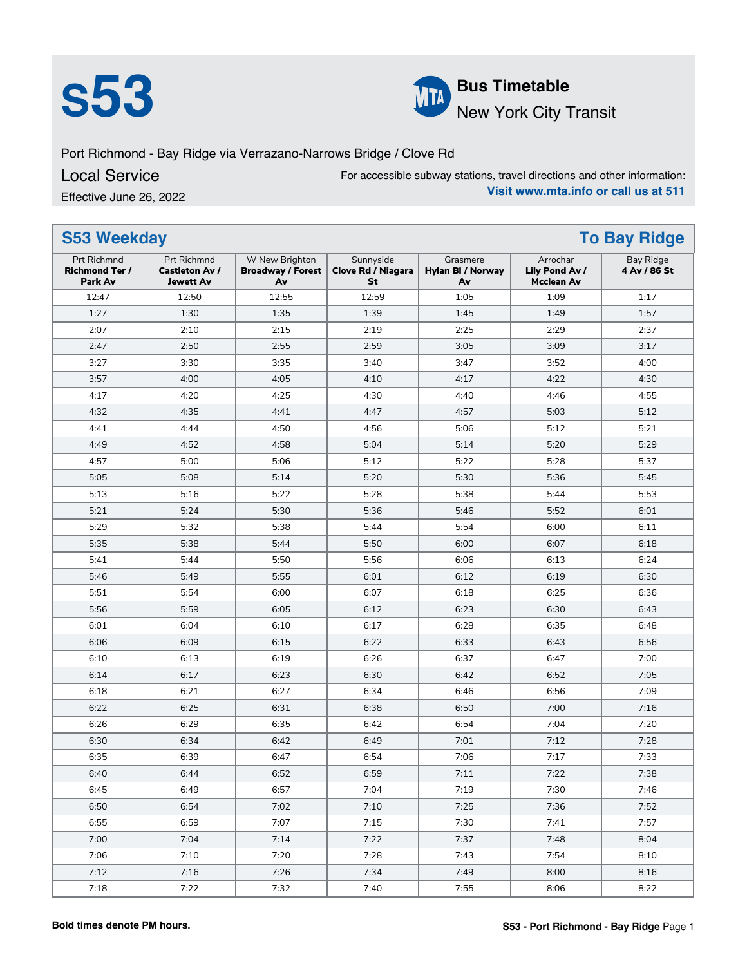



**S**<br>**S53 Bus Timetable**<br>**Bus Timetable**<br>**Bus Timetable**<br>**Bus Timetable** New York City Transit

Port Richmond - Bay Ridge via Verrazano-Narrows Bridge / Clove Rd

Local Service

Effective June 26, 2022

For accessible subway stations, travel directions and other information: **Visit www.mta.info or call us at 511**

| <b>S53 Weekday</b><br><b>To Bay Ridge</b>              |                                                                 |                                                  |                                              |                                     |                                                 |                                  |  |
|--------------------------------------------------------|-----------------------------------------------------------------|--------------------------------------------------|----------------------------------------------|-------------------------------------|-------------------------------------------------|----------------------------------|--|
| <b>Prt Richmnd</b><br><b>Richmond Ter /</b><br>Park Av | <b>Prt Richmnd</b><br><b>Castleton Av /</b><br><b>Jewett Av</b> | W New Brighton<br><b>Broadway / Forest</b><br>Av | Sunnyside<br><b>Clove Rd / Niagara</b><br>St | Grasmere<br>Hylan BI / Norway<br>Av | Arrochar<br>Lily Pond Av /<br><b>Mcclean Av</b> | <b>Bay Ridge</b><br>4 Av / 86 St |  |
| 12:47                                                  | 12:50                                                           | 12:55                                            | 12:59                                        | 1:05                                | 1:09                                            | 1:17                             |  |
| 1:27                                                   | 1:30                                                            | 1:35                                             | 1:39                                         | 1:45                                | 1:49                                            | 1:57                             |  |
| 2:07                                                   | 2:10                                                            | 2:15                                             | 2:19                                         | 2:25                                | 2:29                                            | 2:37                             |  |
| 2:47                                                   | 2:50                                                            | 2:55                                             | 2:59                                         | 3:05                                | 3:09                                            | 3:17                             |  |
| 3:27                                                   | 3:30                                                            | 3:35                                             | 3:40                                         | 3:47                                | 3:52                                            | 4:00                             |  |
| 3:57                                                   | 4:00                                                            | 4:05                                             | 4:10                                         | 4:17                                | 4:22                                            | 4:30                             |  |
| 4:17                                                   | 4:20                                                            | 4:25                                             | 4:30                                         | 4:40                                | 4:46                                            | 4:55                             |  |
| 4:32                                                   | 4:35                                                            | 4:41                                             | 4:47                                         | 4:57                                | 5:03                                            | 5:12                             |  |
| 4:41                                                   | 4:44                                                            | 4:50                                             | 4:56                                         | 5:06                                | 5:12                                            | 5:21                             |  |
| 4:49                                                   | 4:52                                                            | 4:58                                             | 5:04                                         | 5:14                                | 5:20                                            | 5:29                             |  |
| 4:57                                                   | 5:00                                                            | 5:06                                             | 5:12                                         | 5:22                                | 5:28                                            | 5:37                             |  |
| 5:05                                                   | 5:08                                                            | 5:14                                             | 5:20                                         | 5:30                                | 5:36                                            | 5:45                             |  |
| 5:13                                                   | 5:16                                                            | 5:22                                             | 5:28                                         | 5:38                                | 5:44                                            | 5:53                             |  |
| 5:21                                                   | 5:24                                                            | 5:30                                             | 5:36                                         | 5:46                                | 5:52                                            | 6:01                             |  |
| 5:29                                                   | 5:32                                                            | 5:38                                             | 5:44                                         | 5:54                                | 6:00                                            | 6:11                             |  |
| 5:35                                                   | 5:38                                                            | 5:44                                             | 5:50                                         | 6:00                                | 6:07                                            | 6:18                             |  |
| 5:41                                                   | 5:44                                                            | 5:50                                             | 5:56                                         | 6:06                                | 6:13                                            | 6:24                             |  |
| 5:46                                                   | 5:49                                                            | 5:55                                             | 6:01                                         | 6:12                                | 6:19                                            | 6:30                             |  |
| 5:51                                                   | 5:54                                                            | 6:00                                             | 6:07                                         | 6:18                                | 6:25                                            | 6:36                             |  |
| 5:56                                                   | 5:59                                                            | 6:05                                             | 6:12                                         | 6:23                                | 6:30                                            | 6:43                             |  |
| 6:01                                                   | 6:04                                                            | 6:10                                             | 6:17                                         | 6:28                                | 6:35                                            | 6:48                             |  |
| 6:06                                                   | 6:09                                                            | 6:15                                             | 6:22                                         | 6:33                                | 6:43                                            | 6:56                             |  |
| 6:10                                                   | 6:13                                                            | 6:19                                             | 6:26                                         | 6:37                                | 6:47                                            | 7:00                             |  |
| 6:14                                                   | 6:17                                                            | 6:23                                             | 6:30                                         | 6:42                                | 6:52                                            | 7:05                             |  |
| 6:18                                                   | 6:21                                                            | 6:27                                             | 6:34                                         | 6:46                                | 6:56                                            | 7:09                             |  |
| 6:22                                                   | 6:25                                                            | 6:31                                             | 6:38                                         | 6:50                                | 7:00                                            | 7:16                             |  |
| 6:26                                                   | 6:29                                                            | 6:35                                             | 6:42                                         | 6:54                                | 7:04                                            | 7:20                             |  |
| 6:30                                                   | 6:34                                                            | 6:42                                             | 6:49                                         | 7:01                                | 7:12                                            | 7:28                             |  |
| 6:35                                                   | 6:39                                                            | 6:47                                             | 6:54                                         | 7:06                                | 7:17                                            | 7:33                             |  |
| 6:40                                                   | 6:44                                                            | 6:52                                             | 6:59                                         | 7:11                                | 7:22                                            | 7:38                             |  |
| 6:45                                                   | 6:49                                                            | 6:57                                             | 7:04                                         | 7:19                                | 7:30                                            | 7:46                             |  |
| 6:50                                                   | 6:54                                                            | 7:02                                             | 7:10                                         | 7:25                                | 7:36                                            | 7:52                             |  |
| 6:55                                                   | 6:59                                                            | 7:07                                             | 7:15                                         | 7:30                                | 7:41                                            | 7:57                             |  |
| 7:00                                                   | 7:04                                                            | 7:14                                             | 7:22                                         | 7:37                                | 7:48                                            | 8:04                             |  |
| 7:06                                                   | 7:10                                                            | 7:20                                             | 7:28                                         | 7:43                                | 7:54                                            | 8:10                             |  |
| 7:12                                                   | 7:16                                                            | 7:26                                             | 7:34                                         | 7:49                                | 8:00                                            | 8:16                             |  |
| 7:18                                                   | 7:22                                                            | 7:32                                             | 7:40                                         | 7:55                                | 8:06                                            | 8:22                             |  |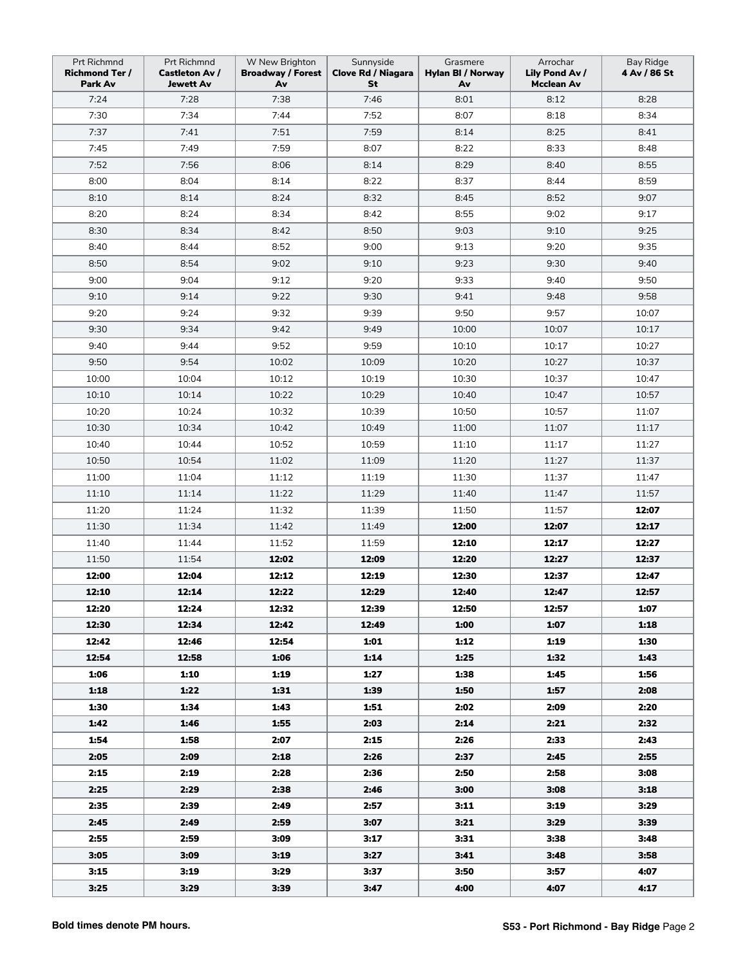| Prt Richmnd<br><b>Richmond Ter /</b><br>Park Av | Prt Richmnd<br><b>Castleton Av /</b><br>Jewett Av | W New Brighton<br><b>Broadway / Forest</b><br>Av | Sunnyside<br><b>Clove Rd / Niagara</b><br>St | Grasmere<br>Hylan BI / Norway<br>Av | Arrochar<br>Lily Pond Av /<br><b>Mcclean Av</b> | <b>Bay Ridge</b><br>4 Av / 86 St |
|-------------------------------------------------|---------------------------------------------------|--------------------------------------------------|----------------------------------------------|-------------------------------------|-------------------------------------------------|----------------------------------|
| 7:24                                            | 7:28                                              | 7:38                                             | 7:46                                         | 8:01                                | 8:12                                            | 8:28                             |
| 7:30                                            | 7:34                                              | 7:44                                             | 7:52                                         | 8:07                                | 8:18                                            | 8:34                             |
| 7:37                                            | 7:41                                              | 7:51                                             | 7:59                                         | 8:14                                | 8:25                                            | 8:41                             |
| 7:45                                            | 7:49                                              | 7:59                                             | 8:07                                         | 8:22                                | 8:33                                            | 8:48                             |
| 7:52                                            | 7:56                                              | 8:06                                             | 8:14                                         | 8:29                                | 8:40                                            | 8:55                             |
| 8:00                                            | 8:04                                              | 8:14                                             | 8:22                                         | 8:37                                | 8:44                                            | 8:59                             |
| 8:10                                            | 8:14                                              | 8:24                                             | 8:32                                         | 8:45                                | 8:52                                            | 9:07                             |
| 8:20                                            | 8:24                                              | 8:34                                             | 8:42                                         | 8:55                                | 9:02                                            | 9:17                             |
| 8:30                                            | 8:34                                              | 8:42                                             | 8:50                                         | 9:03                                | 9:10                                            | 9:25                             |
| 8:40                                            | 8:44                                              | 8:52                                             | 9:00                                         | 9:13                                | 9:20                                            | 9:35                             |
| 8:50                                            | 8:54                                              | 9:02                                             | 9:10                                         | 9:23                                | 9:30                                            | 9:40                             |
| 9:00                                            | 9:04                                              | 9:12                                             | 9:20                                         | 9:33                                | 9:40                                            | 9:50                             |
| 9:10                                            | 9:14                                              | 9:22                                             | 9:30                                         | 9:41                                | 9:48                                            | 9:58                             |
| 9:20                                            | 9:24                                              | 9:32                                             | 9:39                                         | 9:50                                | 9:57                                            | 10:07                            |
| 9:30                                            | 9:34                                              | 9:42                                             | 9:49                                         | 10:00                               | 10:07                                           | 10:17                            |
| 9:40                                            | 9:44                                              | 9:52                                             | 9:59                                         | 10:10                               | 10:17                                           | 10:27                            |
| 9:50                                            | 9:54                                              | 10:02                                            | 10:09                                        | 10:20                               | 10:27                                           | 10:37                            |
| 10:00                                           | 10:04                                             | 10:12                                            | 10:19                                        | 10:30                               | 10:37                                           | 10:47                            |
| 10:10                                           | 10:14                                             | 10:22                                            | 10:29                                        | 10:40                               | 10:47                                           | 10:57                            |
| 10:20                                           | 10:24                                             | 10:32                                            | 10:39                                        | 10:50                               | 10:57                                           | 11:07                            |
| 10:30                                           | 10:34                                             | 10:42                                            | 10:49                                        | 11:00                               | 11:07                                           | 11:17                            |
| 10:40                                           | 10:44                                             | 10:52                                            | 10:59                                        | 11:10                               | 11:17                                           | 11:27                            |
| 10:50                                           | 10:54                                             | 11:02                                            | 11:09                                        | 11:20                               | 11:27                                           | 11:37                            |
| 11:00                                           | 11:04                                             | 11:12                                            | 11:19                                        | 11:30                               | 11:37                                           | 11:47                            |
| 11:10                                           | 11:14                                             | 11:22                                            | 11:29                                        | 11:40                               | 11:47                                           | 11:57                            |
| 11:20                                           | 11:24                                             | 11:32                                            | 11:39                                        | 11:50                               | 11:57                                           | 12:07                            |
| 11:30                                           | 11:34                                             | 11:42                                            | 11:49                                        | 12:00                               | 12:07                                           | 12:17                            |
| 11:40                                           | 11:44                                             | 11:52                                            | 11:59                                        | 12:10                               | 12:17                                           | 12:27                            |
| 11:50                                           | 11:54                                             | 12:02                                            | 12:09                                        | 12:20                               | 12:27                                           | 12:37                            |
| 12:00                                           | 12:04                                             | 12:12                                            | 12:19                                        | 12:30                               | 12:37                                           | 12:47                            |
| 12:10                                           | 12:14                                             | 12:22                                            | 12:29                                        | 12:40                               | 12:47                                           | 12:57                            |
| 12:20                                           | 12:24                                             | 12:32                                            | 12:39                                        | 12:50                               | 12:57                                           | 1:07                             |
| 12:30                                           | 12:34                                             | 12:42                                            | 12:49                                        | 1:00                                | 1:07                                            | 1:18                             |
| 12:42                                           | 12:46                                             | 12:54                                            | 1:01                                         | 1:12                                | 1:19                                            | 1:30                             |
| 12:54                                           | 12:58                                             | 1:06                                             | 1:14                                         | 1:25                                | 1:32                                            | 1:43                             |
| 1:06                                            | 1:10                                              | 1:19                                             | 1:27                                         | 1:38                                | 1:45                                            | 1:56                             |
| 1:18                                            | 1:22                                              | 1:31                                             | 1:39                                         | 1:50                                | 1:57                                            | 2:08                             |
| 1:30                                            | 1:34                                              | 1:43                                             | 1:51                                         | 2:02                                | 2:09                                            | 2:20                             |
| 1:42                                            | 1:46                                              | 1:55                                             | 2:03                                         | 2:14                                | 2:21                                            | 2:32                             |
| 1:54                                            | 1:58                                              | 2:07                                             | 2:15                                         | 2:26                                | 2:33                                            | 2:43                             |
| 2:05                                            | 2:09                                              | 2:18                                             | 2:26                                         | 2:37                                | 2:45                                            | 2:55                             |
| 2:15                                            | 2:19                                              | 2:28                                             | 2:36                                         | 2:50                                | 2:58                                            | 3:08                             |
| 2:25                                            | 2:29                                              | 2:38                                             | 2:46                                         | 3:00                                | 3:08                                            | 3:18                             |
| 2:35                                            | 2:39                                              | 2:49                                             | 2:57                                         | 3:11                                | 3:19                                            | 3:29                             |
| 2:45                                            | 2:49                                              | 2:59                                             | 3:07                                         | 3:21                                | 3:29                                            | 3:39                             |
| 2:55                                            | 2:59                                              | 3:09                                             | 3:17                                         | 3:31                                | 3:38                                            | 3:48                             |
| 3:05                                            | 3:09                                              | 3:19                                             | 3:27                                         | 3:41                                | 3:48                                            | 3:58                             |
| 3:15                                            | 3:19                                              | 3:29                                             | 3:37                                         | 3:50                                | 3:57                                            | 4:07                             |
| 3:25                                            | 3:29                                              | 3:39                                             | 3:47                                         | 4:00                                | 4:07                                            | 4:17                             |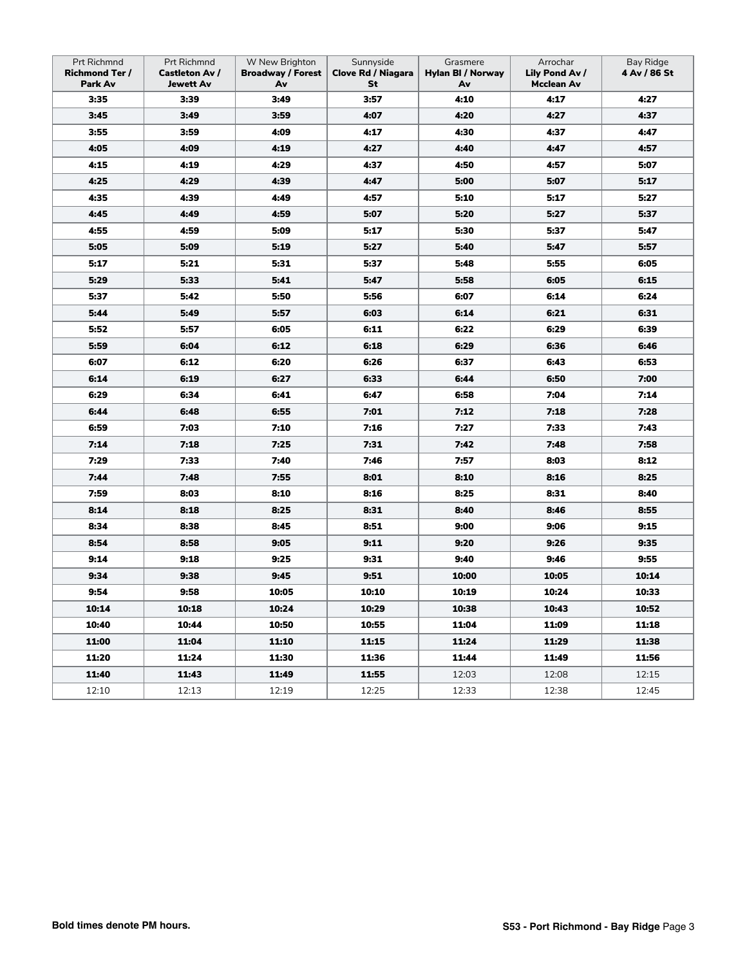| Prt Richmnd<br><b>Richmond Ter /</b><br>Park Av | Prt Richmnd<br><b>Castleton Av /</b><br><b>Jewett Av</b> | W New Brighton<br><b>Broadway / Forest</b><br>Av | Sunnyside<br><b>Clove Rd / Niagara</b><br>St | Grasmere<br>Hylan BI / Norway<br>Av | Arrochar<br>Lily Pond Av /<br>Mcclean Av | Bay Ridge<br>4 Av / 86 St |
|-------------------------------------------------|----------------------------------------------------------|--------------------------------------------------|----------------------------------------------|-------------------------------------|------------------------------------------|---------------------------|
| 3:35                                            | 3:39                                                     | 3:49                                             | 3:57                                         | 4:10                                | 4:17                                     | 4:27                      |
| 3:45                                            | 3:49                                                     | 3:59                                             | 4:07                                         | 4:20                                | 4:27                                     | 4:37                      |
| 3:55                                            | 3:59                                                     | 4:09                                             | 4:17                                         | 4:30                                | 4:37                                     | 4:47                      |
| 4:05                                            | 4:09                                                     | 4:19                                             | 4:27                                         | 4:40                                | 4:47                                     | 4:57                      |
| 4:15                                            | 4:19                                                     | 4:29                                             | 4:37                                         | 4:50                                | 4:57                                     | 5:07                      |
| 4:25                                            | 4:29                                                     | 4:39                                             | 4:47                                         | 5:00                                | 5:07                                     | 5:17                      |
| 4:35                                            | 4:39                                                     | 4:49                                             | 4:57                                         | 5:10                                | 5:17                                     | 5:27                      |
| 4:45                                            | 4:49                                                     | 4:59                                             | 5:07                                         | 5:20                                | 5:27                                     | 5:37                      |
| 4:55                                            | 4:59                                                     | 5:09                                             | 5:17                                         | 5:30                                | 5:37                                     | 5:47                      |
| 5:05                                            | 5:09                                                     | 5:19                                             | 5:27                                         | 5:40                                | 5:47                                     | 5:57                      |
| 5:17                                            | 5:21                                                     | 5:31                                             | 5:37                                         | 5:48                                | 5:55                                     | 6:05                      |
| 5:29                                            | 5:33                                                     | 5:41                                             | 5:47                                         | 5:58                                | 6:05                                     | 6:15                      |
| 5:37                                            | 5:42                                                     | 5:50                                             | 5:56                                         | 6:07                                | 6:14                                     | 6:24                      |
| 5:44                                            | 5:49                                                     | 5:57                                             | 6:03                                         | 6:14                                | 6:21                                     | 6:31                      |
| 5:52                                            | 5:57                                                     | 6:05                                             | 6:11                                         | 6:22                                | 6:29                                     | 6:39                      |
| 5:59                                            | 6:04                                                     | 6:12                                             | 6:18                                         | 6:29                                | 6:36                                     | 6:46                      |
| 6:07                                            | 6:12                                                     | 6:20                                             | 6:26                                         | 6:37                                | 6:43                                     | 6:53                      |
| 6:14                                            | 6:19                                                     | 6:27                                             | 6:33                                         | 6:44                                | 6:50                                     | 7:00                      |
| 6:29                                            | 6:34                                                     | 6:41                                             | 6:47                                         | 6:58                                | 7:04                                     | 7:14                      |
| 6:44                                            | 6:48                                                     | 6:55                                             | 7:01                                         | 7:12                                | 7:18                                     | 7:28                      |
| 6:59                                            | 7:03                                                     | 7:10                                             | 7:16                                         | 7:27                                | 7:33                                     | 7:43                      |
| 7:14                                            | 7:18                                                     | 7:25                                             | 7:31                                         | 7:42                                | 7:48                                     | 7:58                      |
| 7:29                                            | 7:33                                                     | 7:40                                             | 7:46                                         | 7:57                                | 8:03                                     | 8:12                      |
| 7:44                                            | 7:48                                                     | 7:55                                             | 8:01                                         | 8:10                                | 8:16                                     | 8:25                      |
| 7:59                                            | 8:03                                                     | 8:10                                             | 8:16                                         | 8:25                                | 8:31                                     | 8:40                      |
| 8:14                                            | 8:18                                                     | 8:25                                             | 8:31                                         | 8:40                                | 8:46                                     | 8:55                      |
| 8:34                                            | 8:38                                                     | 8:45                                             | 8:51                                         | 9:00                                | 9:06                                     | 9:15                      |
| 8:54                                            | 8:58                                                     | 9:05                                             | 9:11                                         | 9:20                                | 9:26                                     | 9:35                      |
| 9:14                                            | 9:18                                                     | 9:25                                             | 9:31                                         | 9:40                                | 9:46                                     | 9:55                      |
| 9:34                                            | 9:38                                                     | 9:45                                             | 9:51                                         | 10:00                               | 10:05                                    | 10:14                     |
| 9:54                                            | 9:58                                                     | 10:05                                            | 10:10                                        | 10:19                               | 10:24                                    | 10:33                     |
| 10:14                                           | 10:18                                                    | 10:24                                            | 10:29                                        | 10:38                               | 10:43                                    | 10:52                     |
| 10:40                                           | 10:44                                                    | 10:50                                            | 10:55                                        | 11:04                               | 11:09                                    | 11:18                     |
| 11:00                                           | 11:04                                                    | 11:10                                            | 11:15                                        | 11:24                               | 11:29                                    | 11:38                     |
| 11:20                                           | 11:24                                                    | 11:30                                            | 11:36                                        | 11:44                               | 11:49                                    | 11:56                     |
| 11:40                                           | 11:43                                                    | 11:49                                            | 11:55                                        | 12:03                               | 12:08                                    | 12:15                     |
| 12:10                                           | 12:13                                                    | 12:19                                            | 12:25                                        | 12:33                               | 12:38                                    | 12:45                     |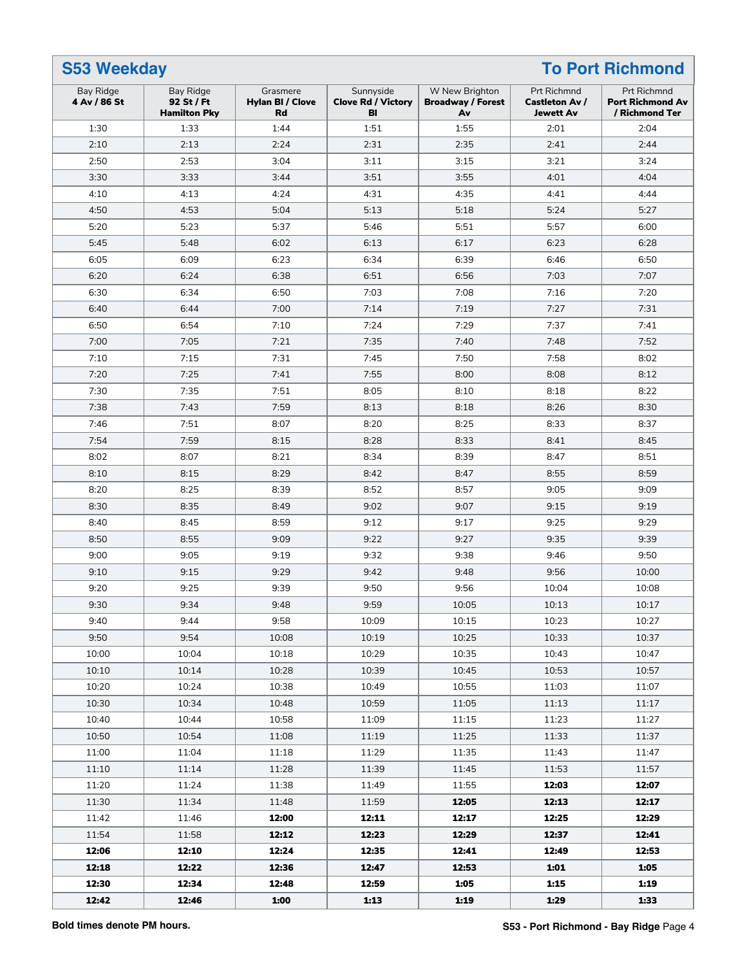| <b>S53 Weekday</b><br><b>To Port Richmond</b> |                                                |                                                  |                                              |                                                  |                                                          |                                                          |
|-----------------------------------------------|------------------------------------------------|--------------------------------------------------|----------------------------------------------|--------------------------------------------------|----------------------------------------------------------|----------------------------------------------------------|
| <b>Bay Ridge</b><br>4 Av / 86 St              | Bay Ridge<br>92 St / Ft<br><b>Hamilton Pky</b> | Grasmere<br><b>Hylan BI / Clove</b><br><b>Rd</b> | Sunnyside<br><b>Clove Rd / Victory</b><br>BI | W New Brighton<br><b>Broadway / Forest</b><br>Av | Prt Richmnd<br><b>Castleton Av /</b><br><b>Jewett Av</b> | Prt Richmnd<br><b>Port Richmond Av</b><br>/ Richmond Ter |
| 1:30                                          | 1:33                                           | 1:44                                             | 1:51                                         | 1:55                                             | 2:01                                                     | 2:04                                                     |
| 2:10                                          | 2:13                                           | 2:24                                             | 2:31                                         | 2:35                                             | 2:41                                                     | 2:44                                                     |
| 2:50                                          | 2:53                                           | 3:04                                             | 3:11                                         | 3:15                                             | 3:21                                                     | 3:24                                                     |
| 3:30                                          | 3:33                                           | 3:44                                             | 3:51                                         | 3:55                                             | 4:01                                                     | 4:04                                                     |
| 4:10                                          | 4:13                                           | 4:24                                             | 4:31                                         | 4:35                                             | 4:41                                                     | 4:44                                                     |
| 4:50                                          | 4:53                                           | 5:04                                             | 5:13                                         | 5:18                                             | 5:24                                                     | 5:27                                                     |
| 5:20                                          | 5:23                                           | 5:37                                             | 5:46                                         | 5:51                                             | 5:57                                                     | 6:00                                                     |
| 5:45                                          | 5:48                                           | 6:02                                             | 6:13                                         | 6:17                                             | 6:23                                                     | 6:28                                                     |
| 6:05                                          | 6:09                                           | 6:23                                             | 6:34                                         | 6:39                                             | 6:46                                                     | 6:50                                                     |
| 6:20                                          | 6:24                                           | 6:38                                             | 6:51                                         | 6:56                                             | 7:03                                                     | 7:07                                                     |
| 6:30                                          | 6:34                                           | 6:50                                             | 7:03                                         | 7:08                                             | 7:16                                                     | 7:20                                                     |
| 6:40                                          | 6:44                                           | 7:00                                             | 7:14                                         | 7:19                                             | 7:27                                                     | 7:31                                                     |
| 6:50                                          | 6:54                                           | 7:10                                             | 7:24                                         | 7:29                                             | 7:37                                                     | 7:41                                                     |
| 7:00                                          | 7:05                                           | 7:21                                             | 7:35                                         | 7:40                                             | 7:48                                                     | 7:52                                                     |
| 7:10                                          | 7:15                                           | 7:31                                             | 7:45                                         | 7:50                                             | 7:58                                                     | 8:02                                                     |
| 7:20                                          | 7:25                                           | 7:41                                             | 7:55                                         | 8:00                                             | 8:08                                                     | 8:12                                                     |
| 7:30                                          | 7:35                                           | 7:51                                             | 8:05                                         | 8:10                                             | 8:18                                                     | 8:22                                                     |
| 7:38                                          | 7:43                                           | 7:59                                             | 8:13                                         | 8:18                                             | 8:26                                                     | 8:30                                                     |
| 7:46                                          | 7:51                                           | 8:07                                             | 8:20                                         | 8:25                                             | 8:33                                                     | 8:37                                                     |
| 7:54                                          | 7:59                                           | 8:15                                             | 8:28                                         | 8:33                                             | 8:41                                                     | 8:45                                                     |
| 8:02                                          | 8:07                                           | 8:21                                             | 8:34                                         | 8:39                                             | 8:47                                                     | 8:51                                                     |
| 8:10                                          | 8:15                                           | 8:29                                             | 8:42                                         | 8:47                                             | 8:55                                                     | 8:59                                                     |
| 8:20                                          | 8:25                                           | 8:39                                             | 8:52                                         | 8:57                                             | 9:05                                                     | 9:09                                                     |
| 8:30                                          | 8:35                                           | 8:49                                             | 9:02                                         | 9:07                                             | 9:15                                                     | 9:19                                                     |
| 8:40                                          | 8:45                                           | 8:59                                             | 9:12                                         | 9:17                                             | 9:25                                                     | 9:29                                                     |
| 8:50                                          | 8:55                                           | 9:09                                             | 9:22                                         | 9:27                                             | 9:35                                                     | 9:39                                                     |
| 9:00                                          | 9:05                                           | 9:19                                             | 9:32                                         | 9:38                                             | 9:46                                                     | 9:50                                                     |
| 9:10                                          | 9:15                                           | 9:29                                             | 9:42                                         | 9:48                                             | 9:56                                                     | 10:00                                                    |
| 9:20                                          | 9:25                                           | 9:39                                             | 9:50                                         | 9:56                                             | 10:04                                                    | 10:08                                                    |
| 9:30                                          | 9:34                                           | 9:48                                             | 9:59                                         | 10:05                                            | 10:13                                                    | 10:17                                                    |
| 9:40                                          | 9:44                                           | 9:58                                             | 10:09                                        | 10:15                                            | 10:23                                                    | 10:27                                                    |
| 9:50                                          | 9:54                                           | 10:08                                            | 10:19                                        | 10:25                                            | 10:33                                                    | 10:37                                                    |
| 10:00                                         | 10:04                                          | 10:18                                            | 10:29                                        | 10:35                                            | 10:43                                                    | 10:47                                                    |
| 10:10                                         | 10:14                                          | 10:28                                            | 10:39                                        | 10:45                                            | 10:53                                                    | 10:57                                                    |
| 10:20                                         | 10:24                                          | 10:38                                            | 10:49                                        | 10:55                                            | 11:03                                                    | 11:07                                                    |
| 10:30                                         | 10:34                                          | 10:48                                            | 10:59                                        | 11:05                                            | 11:13                                                    | 11:17                                                    |
| 10:40                                         | 10:44                                          | 10:58                                            | 11:09                                        | 11:15                                            | 11:23                                                    | 11:27                                                    |
| 10:50                                         | 10:54                                          | 11:08                                            | 11:19                                        | 11:25                                            | 11:33                                                    | 11:37                                                    |
| 11:00                                         | 11:04                                          | 11:18                                            | 11:29                                        | 11:35                                            | 11:43                                                    | 11:47                                                    |
| 11:10                                         | 11:14                                          | 11:28                                            | 11:39                                        | 11:45                                            | 11:53                                                    | 11:57                                                    |
| 11:20                                         | 11:24                                          | 11:38                                            | 11:49                                        | 11:55                                            | 12:03                                                    | 12:07                                                    |
| 11:30                                         | 11:34                                          | 11:48                                            | 11:59                                        | 12:05                                            | 12:13                                                    | 12:17                                                    |
| 11:42                                         | 11:46                                          | 12:00                                            | 12:11                                        | 12:17                                            | 12:25                                                    | 12:29                                                    |
| 11:54                                         | 11:58                                          | 12:12                                            | 12:23                                        | 12:29                                            | 12:37                                                    | 12:41                                                    |
| 12:06                                         | 12:10                                          | 12:24                                            | 12:35                                        | 12:41                                            | 12:49                                                    | 12:53                                                    |
| 12:18                                         | 12:22                                          | 12:36                                            | 12:47                                        | 12:53                                            | 1:01                                                     | 1:05                                                     |
| 12:30                                         | 12:34                                          | 12:48                                            | 12:59                                        | 1:05                                             | 1:15                                                     | 1:19                                                     |
| 12:42                                         | 12:46                                          | 1:00                                             | 1:13                                         | 1:19                                             | 1:29                                                     | 1:33                                                     |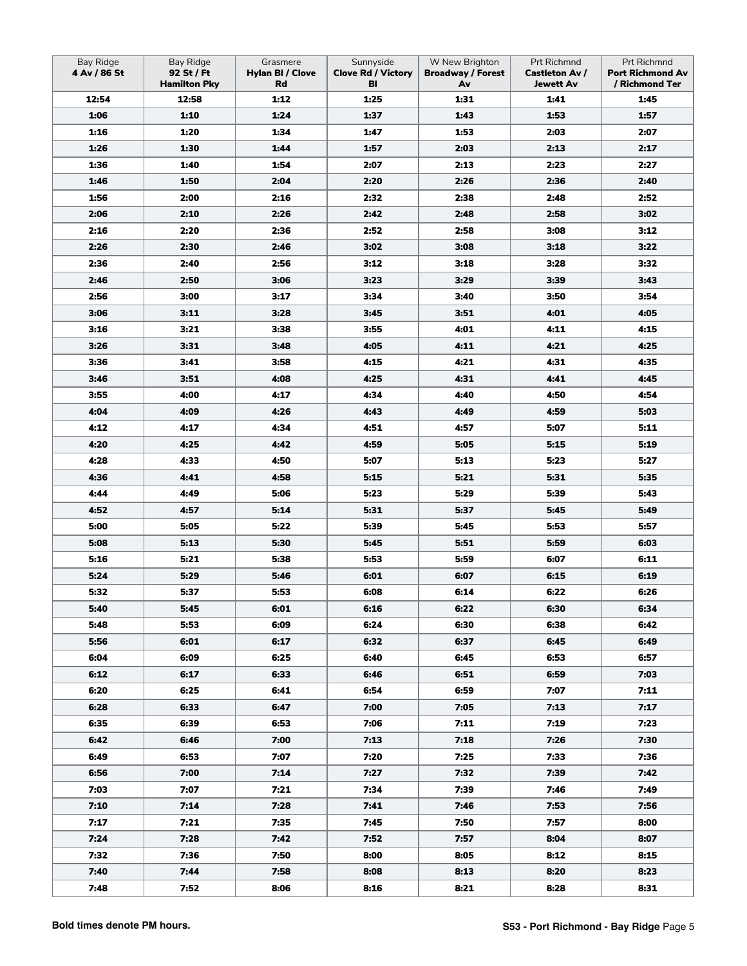| <b>Bay Ridge</b><br>4 Av / 86 St | <b>Bay Ridge</b><br>92 St / Ft<br><b>Hamilton Pky</b> | Grasmere<br><b>Hylan BI / Clove</b><br>Rd | Sunnyside<br><b>Clove Rd / Victory</b><br>BI | W New Brighton<br><b>Broadway / Forest</b><br>Av | Prt Richmnd<br><b>Castleton Av /</b><br><b>Jewett Av</b> | Prt Richmnd<br><b>Port Richmond Av</b><br>/ Richmond Ter |
|----------------------------------|-------------------------------------------------------|-------------------------------------------|----------------------------------------------|--------------------------------------------------|----------------------------------------------------------|----------------------------------------------------------|
| 12:54                            | 12:58                                                 | 1:12                                      | 1:25                                         | 1:31                                             | 1:41                                                     | 1:45                                                     |
| 1:06                             | 1:10                                                  | 1:24                                      | 1:37                                         | 1:43                                             | 1:53                                                     | 1:57                                                     |
| 1:16                             | 1:20                                                  | 1:34                                      | 1:47                                         | 1:53                                             | 2:03                                                     | 2:07                                                     |
| 1:26                             | 1:30                                                  | 1:44                                      | 1:57                                         | 2:03                                             | 2:13                                                     | 2:17                                                     |
| 1:36                             | 1:40                                                  | 1:54                                      | 2:07                                         | 2:13                                             | 2:23                                                     | 2:27                                                     |
| 1:46                             | 1:50                                                  | 2:04                                      | 2:20                                         | 2:26                                             | 2:36                                                     | 2:40                                                     |
| 1:56                             | 2:00                                                  | 2:16                                      | 2:32                                         | 2:38                                             | 2:48                                                     | 2:52                                                     |
| 2:06                             | 2:10                                                  | 2:26                                      | 2:42                                         | 2:48                                             | 2:58                                                     | 3:02                                                     |
| 2:16                             | 2:20                                                  | 2:36                                      | 2:52                                         | 2:58                                             | 3:08                                                     | 3:12                                                     |
| 2:26                             | 2:30                                                  | 2:46                                      | 3:02                                         | 3:08                                             | 3:18                                                     | 3:22                                                     |
| 2:36                             | 2:40                                                  | 2:56                                      | 3:12                                         | 3:18                                             | 3:28                                                     | 3:32                                                     |
| 2:46                             | 2:50                                                  | 3:06                                      | 3:23                                         | 3:29                                             | 3:39                                                     | 3:43                                                     |
| 2:56                             | 3:00                                                  | 3:17                                      | 3:34                                         | 3:40                                             | 3:50                                                     | 3:54                                                     |
| 3:06                             | 3:11                                                  | 3:28                                      | 3:45                                         | 3:51                                             | 4:01                                                     | 4:05                                                     |
| 3:16                             | 3:21                                                  | 3:38                                      | 3:55                                         | 4:01                                             | 4:11                                                     | 4:15                                                     |
| 3:26                             | 3:31                                                  | 3:48                                      | 4:05                                         | 4:11                                             | 4:21                                                     | 4:25                                                     |
| 3:36                             | 3:41                                                  | 3:58                                      | 4:15                                         | 4:21                                             | 4:31                                                     | 4:35                                                     |
| 3:46                             | 3:51                                                  | 4:08                                      | 4:25                                         | 4:31                                             | 4:41                                                     | 4:45                                                     |
| 3:55                             | 4:00                                                  | 4:17                                      | 4:34                                         | 4:40                                             | 4:50                                                     | 4:54                                                     |
| 4:04                             | 4:09                                                  | 4:26                                      | 4:43                                         | 4:49                                             | 4:59                                                     | 5:03                                                     |
| 4:12                             | 4:17                                                  | 4:34                                      | 4:51                                         | 4:57                                             | 5:07                                                     | 5:11                                                     |
| 4:20                             | 4:25                                                  | 4:42                                      | 4:59                                         | 5:05                                             | 5:15                                                     | 5:19                                                     |
| 4:28                             | 4:33                                                  | 4:50                                      | 5:07                                         | 5:13                                             | 5:23                                                     | 5:27                                                     |
| 4:36                             | 4:41                                                  | 4:58                                      | 5:15                                         | 5:21                                             | 5:31                                                     | 5:35                                                     |
| 4:44                             | 4:49                                                  | 5:06                                      | 5:23                                         | 5:29                                             | 5:39                                                     | 5:43                                                     |
| 4:52                             | 4:57                                                  | 5:14                                      | 5:31                                         | 5:37                                             | 5:45                                                     | 5:49                                                     |
| 5:00                             | 5:05                                                  | 5:22                                      | 5:39                                         | 5:45                                             | 5:53                                                     | 5:57                                                     |
| 5:08                             | 5:13                                                  | 5:30                                      | 5:45                                         | 5:51                                             | 5:59                                                     | 6:03                                                     |
| 5:16                             | 5:21                                                  | 5:38                                      | 5:53                                         | 5:59                                             | 6:07                                                     | 6:11                                                     |
| 5:24                             | 5:29                                                  | 5:46                                      | 6:01                                         | 6:07                                             | 6:15                                                     | 6:19                                                     |
| 5:32                             | 5:37                                                  | 5:53                                      | 6:08                                         | 6:14                                             | 6:22                                                     | 6:26                                                     |
| 5:40                             | 5:45                                                  | 6:01                                      | 6:16                                         | 6:22                                             | 6:30                                                     | 6:34                                                     |
| 5:48                             | 5:53                                                  | 6:09                                      | 6:24                                         | 6:30                                             | 6:38                                                     | 6:42                                                     |
| 5:56                             | 6:01                                                  | 6:17                                      | 6:32                                         | 6:37                                             | 6:45                                                     | 6:49                                                     |
| 6:04                             | 6:09                                                  | 6:25                                      | 6:40                                         | 6:45                                             | 6:53                                                     | 6:57                                                     |
| 6:12                             | 6:17                                                  | 6:33                                      | 6:46                                         | 6:51                                             | 6:59                                                     | 7:03                                                     |
| 6:20                             | 6:25                                                  | 6:41                                      | 6:54                                         | 6:59                                             | 7:07                                                     | 7:11                                                     |
| 6:28                             | 6:33                                                  | 6:47                                      | 7:00                                         | 7:05                                             | 7:13                                                     | 7:17                                                     |
| 6:35                             | 6:39                                                  | 6:53                                      | 7:06                                         | 7:11                                             | 7:19                                                     | 7:23                                                     |
| 6:42                             | 6:46                                                  | 7:00                                      | 7:13                                         | 7:18                                             | 7:26                                                     | 7:30                                                     |
| 6:49                             | 6:53                                                  | 7:07                                      | 7:20                                         | 7:25                                             | 7:33                                                     | 7:36                                                     |
| 6:56                             | 7:00                                                  | 7:14                                      | 7:27                                         | 7:32                                             | 7:39                                                     | 7:42                                                     |
| 7:03                             | 7:07                                                  | 7:21                                      | 7:34                                         | 7:39                                             | 7:46                                                     | 7:49                                                     |
| 7:10                             | 7:14                                                  | 7:28                                      | 7:41                                         | 7:46                                             | 7:53                                                     | 7:56                                                     |
| 7:17                             | 7:21                                                  | 7:35                                      | 7:45                                         | 7:50                                             | 7:57                                                     | 8:00                                                     |
| 7:24                             | 7:28                                                  | 7:42                                      | 7:52                                         | 7:57                                             | 8:04                                                     | 8:07                                                     |
| 7:32                             | 7:36                                                  | 7:50                                      | 8:00                                         | 8:05                                             | 8:12                                                     | 8:15                                                     |
| 7:40                             | 7:44                                                  | 7:58                                      | 8:08                                         | 8:13                                             | 8:20                                                     | 8:23                                                     |
| 7:48                             | 7:52                                                  | 8:06                                      | 8:16                                         | 8:21                                             | 8:28                                                     | 8:31                                                     |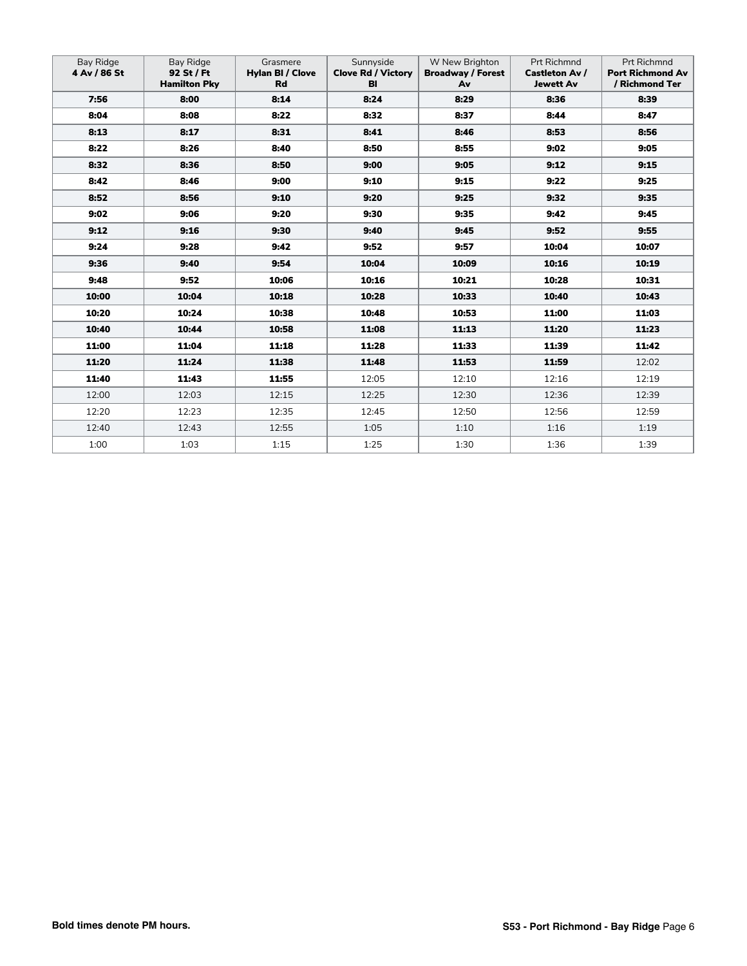| Bay Ridge<br>4 Av / 86 St | Bay Ridge<br>92 St / Ft<br><b>Hamilton Pky</b> | Grasmere<br><b>Hylan BI / Clove</b><br>Rd | Sunnyside<br><b>Clove Rd / Victory</b><br>BI | W New Brighton<br><b>Broadway / Forest</b><br>Av | <b>Prt Richmnd</b><br><b>Castleton Av /</b><br><b>Jewett Av</b> | <b>Prt Richmnd</b><br><b>Port Richmond Av</b><br>/ Richmond Ter |
|---------------------------|------------------------------------------------|-------------------------------------------|----------------------------------------------|--------------------------------------------------|-----------------------------------------------------------------|-----------------------------------------------------------------|
| 7:56                      | 8:00                                           | 8:14                                      | 8:24                                         | 8:29                                             | 8:36                                                            | 8:39                                                            |
| 8:04                      | 8:08                                           | 8:22                                      | 8:32                                         | 8:37                                             | 8:44                                                            | 8:47                                                            |
| 8:13                      | 8:17                                           | 8:31                                      | 8:41                                         | 8:46                                             | 8:53                                                            | 8:56                                                            |
| 8:22                      | 8:26                                           | 8:40                                      | 8:50                                         | 8:55                                             | 9:02                                                            | 9:05                                                            |
| 8:32                      | 8:36                                           | 8:50                                      | 9:00                                         | 9:05                                             | 9:12                                                            | 9:15                                                            |
| 8:42                      | 8:46                                           | 9:00                                      | 9:10                                         | 9:15                                             | 9:22                                                            | 9:25                                                            |
| 8:52                      | 8:56                                           | 9:10                                      | 9:20                                         | 9:25                                             | 9:32                                                            | 9:35                                                            |
| 9:02                      | 9:06                                           | 9:20                                      | 9:30                                         | 9:35                                             | 9:42                                                            | 9:45                                                            |
| 9:12                      | 9:16                                           | 9:30                                      | 9:40                                         | 9:45                                             | 9:52                                                            | 9:55                                                            |
| 9:24                      | 9:28                                           | 9:42                                      | 9:52                                         | 9:57                                             | 10:04                                                           | 10:07                                                           |
| 9:36                      | 9:40                                           | 9:54                                      | 10:04                                        | 10:09                                            | 10:16                                                           | 10:19                                                           |
| 9:48                      | 9:52                                           | 10:06                                     | 10:16                                        | 10:21                                            | 10:28                                                           | 10:31                                                           |
| 10:00                     | 10:04                                          | 10:18                                     | 10:28                                        | 10:33                                            | 10:40                                                           | 10:43                                                           |
| 10:20                     | 10:24                                          | 10:38                                     | 10:48                                        | 10:53                                            | 11:00                                                           | 11:03                                                           |
| 10:40                     | 10:44                                          | 10:58                                     | 11:08                                        | 11:13                                            | 11:20                                                           | 11:23                                                           |
| 11:00                     | 11:04                                          | 11:18                                     | 11:28                                        | 11:33                                            | 11:39                                                           | 11:42                                                           |
| 11:20                     | 11:24                                          | 11:38                                     | 11:48                                        | 11:53                                            | 11:59                                                           | 12:02                                                           |
| 11:40                     | 11:43                                          | 11:55                                     | 12:05                                        | 12:10                                            | 12:16                                                           | 12:19                                                           |
| 12:00                     | 12:03                                          | 12:15                                     | 12:25                                        | 12:30                                            | 12:36                                                           | 12:39                                                           |
| 12:20                     | 12:23                                          | 12:35                                     | 12:45                                        | 12:50                                            | 12:56                                                           | 12:59                                                           |
| 12:40                     | 12:43                                          | 12:55                                     | 1:05                                         | 1:10                                             | 1:16                                                            | 1:19                                                            |
| 1:00                      | 1:03                                           | 1:15                                      | 1:25                                         | 1:30                                             | 1:36                                                            | 1:39                                                            |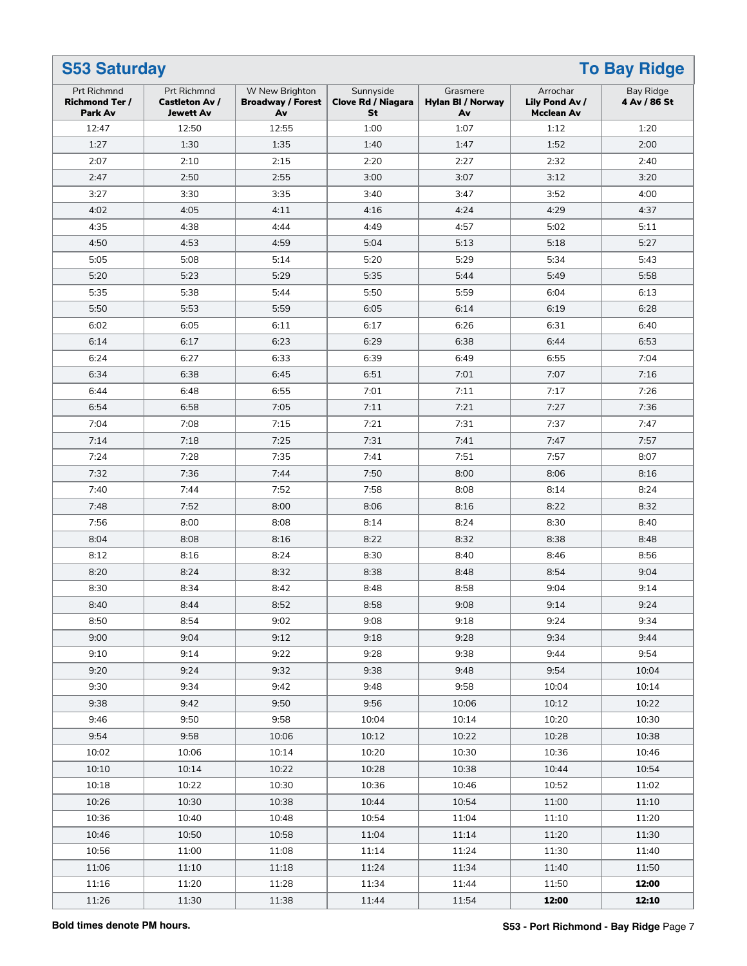| <b>To Bay Ridge</b><br><b>S53 Saturday</b>             |                                                                 |                                                  |                                              |                                     |                                                 |                           |  |
|--------------------------------------------------------|-----------------------------------------------------------------|--------------------------------------------------|----------------------------------------------|-------------------------------------|-------------------------------------------------|---------------------------|--|
| <b>Prt Richmnd</b><br><b>Richmond Ter /</b><br>Park Av | <b>Prt Richmnd</b><br><b>Castleton Av /</b><br><b>Jewett Av</b> | W New Brighton<br><b>Broadway / Forest</b><br>Av | Sunnyside<br><b>Clove Rd / Niagara</b><br>St | Grasmere<br>Hylan BI / Norway<br>Av | Arrochar<br>Lily Pond Av /<br><b>Mcclean Av</b> | Bay Ridge<br>4 Av / 86 St |  |
| 12:47                                                  | 12:50                                                           | 12:55                                            | 1:00                                         | 1:07                                | 1:12                                            | 1:20                      |  |
| 1:27                                                   | 1:30                                                            | 1:35                                             | 1:40                                         | 1:47                                | 1:52                                            | 2:00                      |  |
| 2:07                                                   | 2:10                                                            | 2:15                                             | 2:20                                         | 2:27                                | 2:32                                            | 2:40                      |  |
| 2:47                                                   | 2:50                                                            | 2:55                                             | 3:00                                         | 3:07                                | 3:12                                            | 3:20                      |  |
| 3:27                                                   | 3:30                                                            | 3:35                                             | 3:40                                         | 3:47                                | 3:52                                            | 4:00                      |  |
| 4:02                                                   | 4:05                                                            | 4:11                                             | 4:16                                         | 4:24                                | 4:29                                            | 4:37                      |  |
| 4:35                                                   | 4:38                                                            | 4:44                                             | 4:49                                         | 4:57                                | 5:02                                            | 5:11                      |  |
| 4:50                                                   | 4:53                                                            | 4:59                                             | 5:04                                         | 5:13                                | 5:18                                            | 5:27                      |  |
| 5:05                                                   | 5:08                                                            | 5:14                                             | 5:20                                         | 5:29                                | 5:34                                            | 5:43                      |  |
| 5:20                                                   | 5:23                                                            | 5:29                                             | 5:35                                         | 5:44                                | 5:49                                            | 5:58                      |  |
| 5:35                                                   | 5:38                                                            | 5:44                                             | 5:50                                         | 5:59                                | 6:04                                            | 6:13                      |  |
| 5:50                                                   | 5:53                                                            | 5:59                                             | 6:05                                         | 6:14                                | 6:19                                            | 6:28                      |  |
| 6:02                                                   | 6:05                                                            | 6:11                                             | 6:17                                         | 6:26                                | 6:31                                            | 6:40                      |  |
| 6:14                                                   | 6:17                                                            | 6:23                                             | 6:29                                         | 6:38                                | 6:44                                            | 6:53                      |  |
| 6:24                                                   | 6:27                                                            | 6:33                                             | 6:39                                         | 6:49                                | 6:55                                            | 7:04                      |  |
| 6:34                                                   | 6:38                                                            | 6:45                                             | 6:51                                         | 7:01                                | 7:07                                            | 7:16                      |  |
| 6:44                                                   | 6:48                                                            | 6:55                                             | 7:01                                         | 7:11                                | 7:17                                            | 7:26                      |  |
| 6:54                                                   | 6:58                                                            | 7:05                                             | 7:11                                         | 7:21                                | 7:27                                            | 7:36                      |  |
| 7:04                                                   | 7:08                                                            | 7:15                                             | 7:21                                         | 7:31                                | 7:37                                            | 7:47                      |  |
| 7:14                                                   | 7:18                                                            | 7:25                                             | 7:31                                         | 7:41                                | 7:47                                            | 7:57                      |  |
| 7:24                                                   | 7:28                                                            | 7:35                                             | 7:41                                         | 7:51                                | 7:57                                            | 8:07                      |  |
| 7:32                                                   | 7:36                                                            | 7:44                                             | 7:50                                         | 8:00                                | 8:06                                            | 8:16                      |  |
| 7:40                                                   | 7:44                                                            | 7:52                                             | 7:58                                         | 8:08                                | 8:14                                            | 8:24                      |  |
| 7:48                                                   | 7:52                                                            | 8:00                                             | 8:06                                         | 8:16                                | 8:22                                            | 8:32                      |  |
| 7:56                                                   | 8:00                                                            | 8:08                                             | 8:14                                         | 8:24                                | 8:30                                            | 8:40                      |  |
| 8:04                                                   | 8:08                                                            | 8:16                                             | 8:22                                         | 8:32                                | 8:38                                            | 8:48                      |  |
| 8:12                                                   | 8:16                                                            | 8:24                                             | 8:30                                         | 8:40                                | 8:46                                            | 8:56                      |  |
| 8:20                                                   | 8:24                                                            | 8:32                                             | 8:38                                         | 8:48                                | 8:54                                            | 9:04                      |  |
| 8:30                                                   | 8:34                                                            | 8:42                                             | 8:48                                         | 8:58                                | 9:04                                            | 9:14                      |  |
| 8:40                                                   | 8:44                                                            | 8:52                                             | 8:58                                         | 9:08                                | 9:14                                            | 9:24                      |  |
| 8:50                                                   | 8:54                                                            | 9:02                                             | 9:08                                         | 9:18                                | 9:24                                            | 9:34                      |  |
| 9:00                                                   | 9:04                                                            | 9:12                                             | 9:18                                         | 9:28                                | 9:34                                            | 9:44                      |  |
| 9:10                                                   | 9:14                                                            | 9:22                                             | 9:28                                         | 9:38                                | 9:44                                            | 9:54                      |  |
| 9:20                                                   | 9:24                                                            | 9:32                                             | 9:38                                         | 9:48                                | 9:54                                            | 10:04                     |  |
| 9:30                                                   | 9:34                                                            | 9:42                                             | 9:48                                         | 9:58                                | 10:04                                           | 10:14                     |  |
| 9:38                                                   | 9:42                                                            | 9:50                                             | 9:56                                         | 10:06                               | 10:12                                           | 10:22                     |  |
| 9:46                                                   | 9:50                                                            | 9:58                                             | 10:04                                        | 10:14                               | 10:20                                           | 10:30                     |  |
| 9:54                                                   | 9:58                                                            | 10:06                                            | 10:12                                        | 10:22                               | 10:28                                           | 10:38                     |  |
| 10:02                                                  | 10:06                                                           | 10:14                                            | 10:20                                        | 10:30                               | 10:36                                           | 10:46                     |  |
| 10:10                                                  | 10:14                                                           | 10:22                                            | 10:28                                        | 10:38                               | 10:44                                           | 10:54                     |  |
| 10:18                                                  | 10:22                                                           | 10:30                                            | 10:36                                        | 10:46                               | 10:52                                           | 11:02                     |  |
| 10:26                                                  | 10:30                                                           | 10:38                                            | 10:44                                        | 10:54                               | 11:00                                           | 11:10                     |  |
| 10:36                                                  | 10:40                                                           | 10:48                                            | 10:54                                        | 11:04                               | 11:10                                           | 11:20                     |  |
| 10:46                                                  | 10:50                                                           | 10:58                                            | 11:04                                        | 11:14                               | 11:20                                           | 11:30                     |  |
| 10:56                                                  | 11:00                                                           | 11:08                                            | 11:14                                        | 11:24                               | 11:30                                           | 11:40                     |  |
| 11:06                                                  | 11:10                                                           | 11:18                                            | 11:24                                        | 11:34                               | 11:40                                           | 11:50                     |  |
| 11:16                                                  | 11:20                                                           | 11:28                                            | 11:34                                        | 11:44                               | 11:50                                           | 12:00                     |  |
| 11:26                                                  | 11:30                                                           | 11:38                                            | 11:44                                        | 11:54                               | 12:00                                           | 12:10                     |  |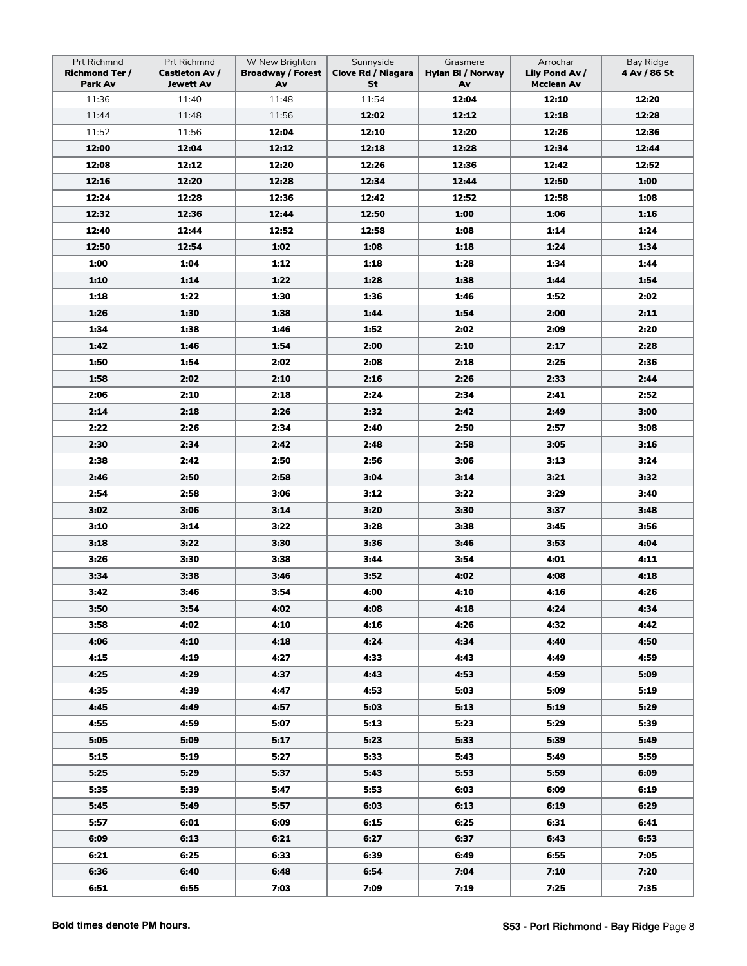| Prt Richmnd<br><b>Richmond Ter /</b><br>Park Av | <b>Prt Richmnd</b><br><b>Castleton Av /</b><br><b>Jewett Av</b> | W New Brighton<br><b>Broadway / Forest</b><br>Av | Sunnyside<br><b>Clove Rd / Niagara</b><br>St | Grasmere<br><b>Hylan BI / Norway</b><br>Av | Arrochar<br>Lily Pond Av /<br><b>Mcclean Av</b> | <b>Bay Ridge</b><br>4 Av / 86 St |
|-------------------------------------------------|-----------------------------------------------------------------|--------------------------------------------------|----------------------------------------------|--------------------------------------------|-------------------------------------------------|----------------------------------|
| 11:36                                           | 11:40                                                           | 11:48                                            | 11:54                                        | 12:04                                      | 12:10                                           | 12:20                            |
| 11:44                                           | 11:48                                                           | 11:56                                            | 12:02                                        | 12:12                                      | 12:18                                           | 12:28                            |
| 11:52                                           | 11:56                                                           | 12:04                                            | 12:10                                        | 12:20                                      | 12:26                                           | 12:36                            |
| 12:00                                           | 12:04                                                           | 12:12                                            | 12:18                                        | 12:28                                      | 12:34                                           | 12:44                            |
| 12:08                                           | 12:12                                                           | 12:20                                            | 12:26                                        | 12:36                                      | 12:42                                           | 12:52                            |
| 12:16                                           | 12:20                                                           | 12:28                                            | 12:34                                        | 12:44                                      | 12:50                                           | 1:00                             |
| 12:24                                           | 12:28                                                           | 12:36                                            | 12:42                                        | 12:52                                      | 12:58                                           | 1:08                             |
| 12:32                                           | 12:36                                                           | 12:44                                            | 12:50                                        | 1:00                                       | 1:06                                            | 1:16                             |
| 12:40                                           | 12:44                                                           | 12:52                                            | 12:58                                        | 1:08                                       | 1:14                                            | 1:24                             |
| 12:50                                           | 12:54                                                           | 1:02                                             | 1:08                                         | 1:18                                       | 1:24                                            | 1:34                             |
| 1:00                                            | 1:04                                                            | 1:12                                             | 1:18                                         | 1:28                                       | 1:34                                            | 1:44                             |
| 1:10                                            | 1:14                                                            | 1:22                                             | 1:28                                         | 1:38                                       | 1:44                                            | 1:54                             |
| 1:18                                            | 1:22                                                            | 1:30                                             | 1:36                                         | 1:46                                       | 1:52                                            | 2:02                             |
| 1:26                                            | 1:30                                                            | 1:38                                             | 1:44                                         | 1:54                                       | 2:00                                            | 2:11                             |
| 1:34                                            | 1:38                                                            | 1:46                                             | 1:52                                         | 2:02                                       | 2:09                                            | 2:20                             |
| 1:42                                            | 1:46                                                            | 1:54                                             | 2:00                                         | 2:10                                       | 2:17                                            | 2:28                             |
| 1:50                                            | 1:54                                                            | 2:02                                             | 2:08                                         | 2:18                                       | 2:25                                            | 2:36                             |
| 1:58                                            | 2:02                                                            | 2:10                                             | 2:16                                         | 2:26                                       | 2:33                                            | 2:44                             |
| 2:06                                            | 2:10                                                            | 2:18                                             | 2:24                                         | 2:34                                       | 2:41                                            | 2:52                             |
| 2:14                                            | 2:18                                                            | 2:26                                             | 2:32                                         | 2:42                                       | 2:49                                            | 3:00                             |
| 2:22                                            | 2:26                                                            | 2:34                                             | 2:40                                         | 2:50                                       | 2:57                                            | 3:08                             |
| 2:30                                            | 2:34                                                            | 2:42                                             | 2:48                                         | 2:58                                       | 3:05                                            | 3:16                             |
| 2:38                                            | 2:42                                                            | 2:50                                             | 2:56                                         | 3:06                                       | 3:13                                            | 3:24                             |
| 2:46                                            | 2:50                                                            | 2:58                                             | 3:04                                         | 3:14                                       | 3:21                                            | 3:32                             |
| 2:54                                            | 2:58                                                            | 3:06                                             | 3:12                                         | 3:22                                       | 3:29                                            | 3:40                             |
| 3:02                                            | 3:06                                                            | 3:14                                             | 3:20                                         | 3:30                                       | 3:37                                            | 3:48                             |
| 3:10                                            | 3:14                                                            | 3:22                                             | 3:28                                         | 3:38                                       | 3:45                                            | 3:56                             |
| 3:18                                            | 3:22                                                            | 3:30                                             | 3:36                                         | 3:46                                       | 3:53                                            | 4:04                             |
| 3:26                                            | 3:30                                                            | 3:38                                             | 3:44                                         | 3:54                                       | 4:01                                            | 4:11                             |
| 3:34                                            | 3:38                                                            | 3:46                                             | 3:52                                         | 4:02                                       | 4:08                                            | 4:18                             |
| 3:42                                            | 3:46                                                            | 3:54                                             | 4:00                                         | 4:10                                       | 4:16                                            | 4:26                             |
| 3:50                                            | 3:54                                                            | 4:02                                             | 4:08                                         | 4:18                                       | 4:24                                            | 4:34                             |
| 3:58                                            | 4:02                                                            | 4:10                                             | 4:16                                         | 4:26                                       | 4:32                                            | 4:42                             |
| 4:06                                            | 4:10                                                            | 4:18                                             | 4:24                                         | 4:34                                       | 4:40                                            | 4:50                             |
| 4:15                                            | 4:19                                                            | 4:27                                             | 4:33                                         | 4:43                                       | 4:49                                            | 4:59                             |
| 4:25                                            | 4:29                                                            | 4:37                                             | 4:43                                         | 4:53                                       | 4:59                                            | 5:09                             |
| 4:35                                            | 4:39                                                            | 4:47                                             | 4:53                                         | 5:03                                       | 5:09                                            | 5:19                             |
| 4:45                                            | 4:49                                                            | 4:57                                             | 5:03                                         | 5:13                                       | 5:19                                            | 5:29                             |
| 4:55                                            | 4:59                                                            | 5:07                                             | 5:13                                         | 5:23                                       | 5:29                                            | 5:39                             |
| 5:05                                            | 5:09                                                            | 5:17                                             | 5:23                                         | 5:33                                       | 5:39                                            | 5:49                             |
| 5:15                                            | 5:19                                                            | 5:27                                             | 5:33                                         | 5:43                                       | 5:49                                            | 5:59                             |
| 5:25                                            | 5:29                                                            | 5:37                                             | 5:43                                         | 5:53                                       | 5:59                                            | 6:09                             |
| 5:35                                            | 5:39                                                            | 5:47                                             | 5:53                                         | 6:03                                       | 6:09                                            | 6:19                             |
| 5:45                                            | 5:49                                                            | 5:57                                             | 6:03                                         | 6:13                                       | 6:19                                            | 6:29                             |
| 5:57                                            | 6:01                                                            | 6:09                                             | 6:15                                         | 6:25                                       | 6:31                                            | 6:41                             |
| 6:09                                            | 6:13                                                            | 6:21                                             | 6:27                                         | 6:37                                       | 6:43                                            | 6:53                             |
| 6:21                                            | 6:25                                                            | 6:33                                             | 6:39                                         | 6:49                                       | 6:55                                            | 7:05                             |
| 6:36                                            | 6:40                                                            | 6:48                                             | 6:54                                         | 7:04                                       | 7:10                                            | 7:20                             |
| 6:51                                            | 6:55                                                            | 7:03                                             | 7:09                                         | 7:19                                       | 7:25                                            | 7:35                             |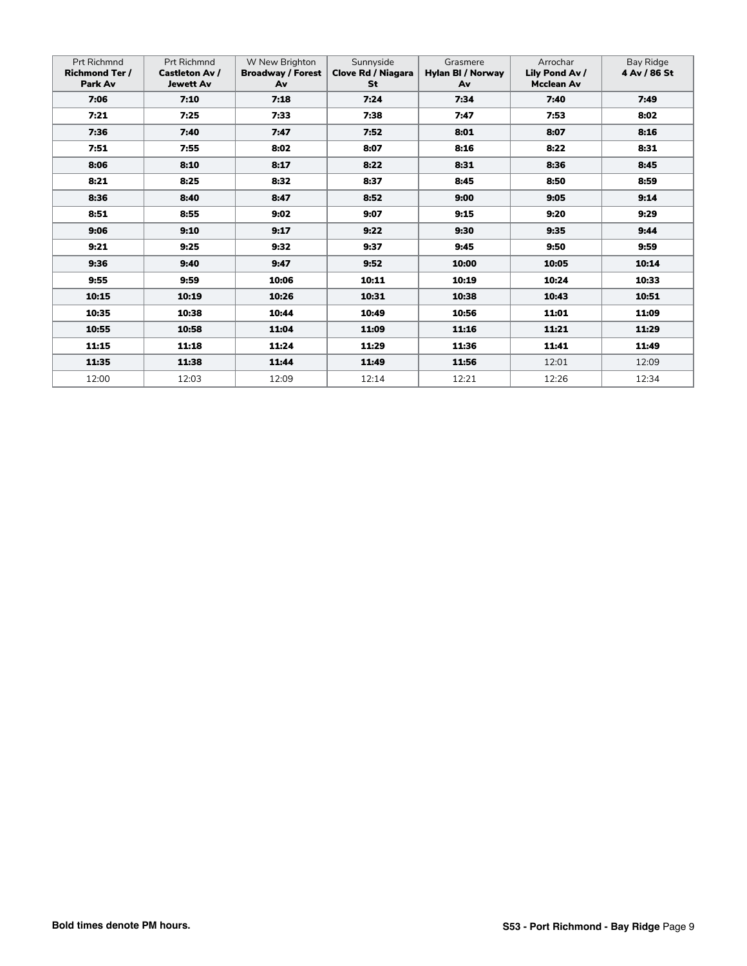| <b>Prt Richmnd</b><br><b>Richmond Ter /</b><br>Park Av | <b>Prt Richmnd</b><br><b>Castleton Av /</b><br><b>Jewett Av</b> | W New Brighton<br><b>Broadway / Forest</b><br>Av | Sunnyside<br>Clove Rd / Niagara<br>St | Grasmere<br>Hylan BI / Norway<br>Av | Arrochar<br>Lily Pond Av /<br><b>Mcclean Av</b> | Bay Ridge<br>4 Av / 86 St |
|--------------------------------------------------------|-----------------------------------------------------------------|--------------------------------------------------|---------------------------------------|-------------------------------------|-------------------------------------------------|---------------------------|
| 7:06                                                   | 7:10                                                            | 7:18                                             | 7:24                                  | 7:34                                | 7:40                                            | 7:49                      |
| 7:21                                                   | 7:25                                                            | 7:33                                             | 7:38                                  | 7:47                                | 7:53                                            | 8:02                      |
| 7:36                                                   | 7:40                                                            | 7:47                                             | 7:52                                  | 8:01                                | 8:07                                            | 8:16                      |
| 7:51                                                   | 7:55                                                            | 8:02                                             | 8:07                                  | 8:16                                | 8:22                                            | 8:31                      |
| 8:06                                                   | 8:10                                                            | 8:17                                             | 8:22                                  | 8:31                                | 8:36                                            | 8:45                      |
| 8:21                                                   | 8:25                                                            | 8:32                                             | 8:37                                  | 8:45                                | 8:50                                            | 8:59                      |
| 8:36                                                   | 8:40                                                            | 8:47                                             | 8:52                                  | 9:00                                | 9:05                                            | 9:14                      |
| 8:51                                                   | 8:55                                                            | 9:02                                             | 9:07                                  | 9:15                                | 9:20                                            | 9:29                      |
| 9:06                                                   | 9:10                                                            | 9:17                                             | 9:22                                  | 9:30                                | 9:35                                            | 9:44                      |
| 9:21                                                   | 9:25                                                            | 9:32                                             | 9:37                                  | 9:45                                | 9:50                                            | 9:59                      |
| 9:36                                                   | 9:40                                                            | 9:47                                             | 9:52                                  | 10:00                               | 10:05                                           | 10:14                     |
| 9:55                                                   | 9:59                                                            | 10:06                                            | 10:11                                 | 10:19                               | 10:24                                           | 10:33                     |
| 10:15                                                  | 10:19                                                           | 10:26                                            | 10:31                                 | 10:38                               | 10:43                                           | 10:51                     |
| 10:35                                                  | 10:38                                                           | 10:44                                            | 10:49                                 | 10:56                               | 11:01                                           | 11:09                     |
| 10:55                                                  | 10:58                                                           | 11:04                                            | 11:09                                 | 11:16                               | 11:21                                           | 11:29                     |
| 11:15                                                  | 11:18                                                           | 11:24                                            | 11:29                                 | 11:36                               | 11:41                                           | 11:49                     |
| 11:35                                                  | 11:38                                                           | 11:44                                            | 11:49                                 | 11:56                               | 12:01                                           | 12:09                     |
| 12:00                                                  | 12:03                                                           | 12:09                                            | 12:14                                 | 12:21                               | 12:26                                           | 12:34                     |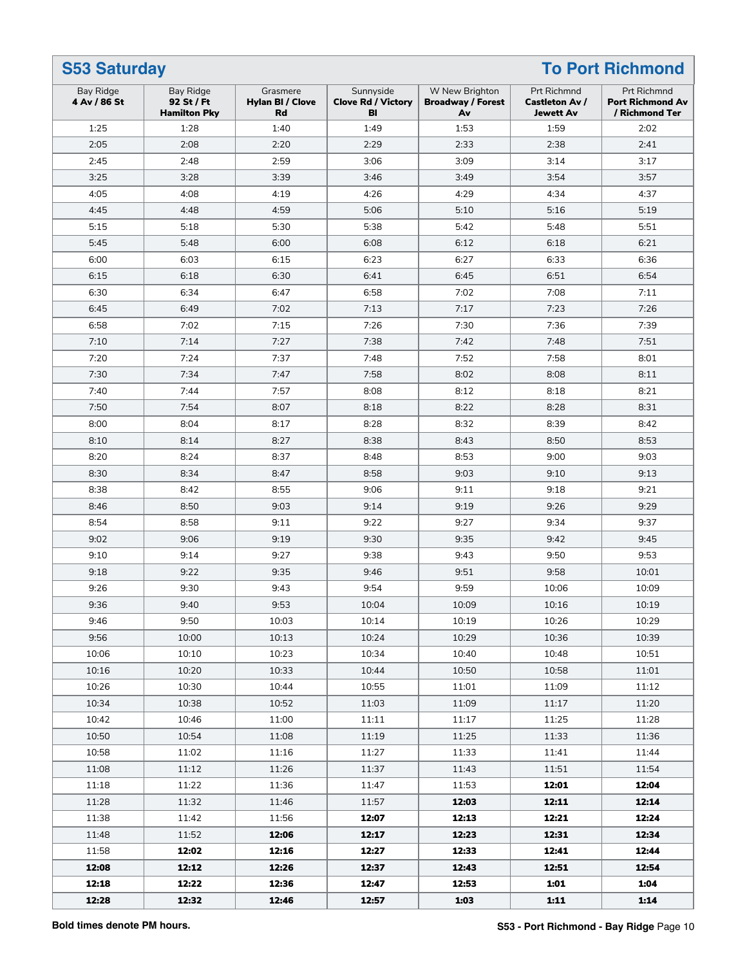| <b>S53 Saturday</b>       |                                                |                                                  |                                              |                                                  |                                                                 | <b>To Port Richmond</b>                                         |
|---------------------------|------------------------------------------------|--------------------------------------------------|----------------------------------------------|--------------------------------------------------|-----------------------------------------------------------------|-----------------------------------------------------------------|
| Bay Ridge<br>4 Av / 86 St | Bay Ridge<br>92 St / Ft<br><b>Hamilton Pky</b> | Grasmere<br><b>Hylan BI / Clove</b><br><b>Rd</b> | Sunnyside<br><b>Clove Rd / Victory</b><br>BI | W New Brighton<br><b>Broadway / Forest</b><br>Av | <b>Prt Richmnd</b><br><b>Castleton Av /</b><br><b>Jewett Av</b> | <b>Prt Richmnd</b><br><b>Port Richmond Av</b><br>/ Richmond Ter |
| 1:25                      | 1:28                                           | 1:40                                             | 1:49                                         | 1:53                                             | 1:59                                                            | 2:02                                                            |
| 2:05                      | 2:08                                           | 2:20                                             | 2:29                                         | 2:33                                             | 2:38                                                            | 2:41                                                            |
| 2:45                      | 2:48                                           | 2:59                                             | 3:06                                         | 3:09                                             | 3:14                                                            | 3:17                                                            |
| 3:25                      | 3:28                                           | 3:39                                             | 3:46                                         | 3:49                                             | 3:54                                                            | 3:57                                                            |
| 4:05                      | 4:08                                           | 4:19                                             | 4:26                                         | 4:29                                             | 4:34                                                            | 4:37                                                            |
| 4:45                      | 4:48                                           | 4:59                                             | 5:06                                         | 5:10                                             | 5:16                                                            | 5:19                                                            |
| 5:15                      | 5:18                                           | 5:30                                             | 5:38                                         | 5:42                                             | 5:48                                                            | 5:51                                                            |
| 5:45                      | 5:48                                           | 6:00                                             | 6:08                                         | 6:12                                             | 6:18                                                            | 6:21                                                            |
| 6:00                      | 6:03                                           | 6:15                                             | 6:23                                         | 6:27                                             | 6:33                                                            | 6:36                                                            |
| 6:15                      | 6:18                                           | 6:30                                             | 6:41                                         | 6:45                                             | 6:51                                                            | 6:54                                                            |
| 6:30                      | 6:34                                           | 6:47                                             | 6:58                                         | 7:02                                             | 7:08                                                            | 7:11                                                            |
| 6:45                      | 6:49                                           | 7:02                                             | 7:13                                         | 7:17                                             | 7:23                                                            | 7:26                                                            |
| 6:58                      | 7:02                                           | 7:15                                             | 7:26                                         | 7:30                                             | 7:36                                                            | 7:39                                                            |
| 7:10                      | 7:14                                           | 7:27                                             | 7:38                                         | 7:42                                             | 7:48                                                            | 7:51                                                            |
| 7:20                      | 7:24                                           | 7:37                                             | 7:48                                         | 7:52                                             | 7:58                                                            | 8:01                                                            |
| 7:30                      | 7:34                                           | 7:47                                             | 7:58                                         | 8:02                                             | 8:08                                                            | 8:11                                                            |
| 7:40                      | 7:44                                           | 7:57                                             | 8:08                                         | 8:12                                             | 8:18                                                            | 8:21                                                            |
| 7:50                      | 7:54                                           | 8:07                                             | 8:18                                         | 8:22                                             | 8:28                                                            | 8:31                                                            |
| 8:00                      | 8:04                                           | 8:17                                             | 8:28                                         | 8:32                                             | 8:39                                                            | 8:42                                                            |
| 8:10                      | 8:14                                           | 8:27                                             | 8:38                                         | 8:43                                             | 8:50                                                            | 8:53                                                            |
| 8:20                      | 8:24                                           | 8:37                                             | 8:48                                         | 8:53                                             | 9:00                                                            | 9:03                                                            |
| 8:30                      | 8:34                                           | 8:47                                             | 8:58                                         | 9:03                                             | 9:10                                                            | 9:13                                                            |
| 8:38                      | 8:42                                           | 8:55                                             | 9:06                                         | 9:11                                             | 9:18                                                            | 9:21                                                            |
| 8:46                      | 8:50                                           | 9:03                                             | 9:14                                         | 9:19                                             | 9:26                                                            | 9:29                                                            |
| 8:54                      | 8:58                                           | 9:11                                             | 9:22                                         | 9:27                                             | 9:34                                                            | 9:37                                                            |
| 9:02                      | 9:06                                           | 9:19                                             | 9:30                                         | 9:35                                             | 9:42                                                            | 9:45                                                            |
| 9:10                      | 9:14                                           | 9:27                                             | 9:38                                         | 9:43                                             | 9:50                                                            | 9:53                                                            |
| 9:18                      | 9:22                                           | 9:35                                             | 9:46                                         | 9:51                                             | 9:58                                                            | 10:01                                                           |
| 9:26                      | 9:30                                           | 9:43                                             | 9:54                                         | 9:59                                             | 10:06                                                           | 10:09                                                           |
| 9:36                      | 9:40                                           | 9:53                                             | 10:04                                        | 10:09                                            | 10:16                                                           | 10:19                                                           |
| 9:46                      | 9:50                                           | 10:03                                            | 10:14                                        | 10:19                                            | 10:26                                                           | 10:29                                                           |
| 9:56                      | 10:00                                          | 10:13                                            | 10:24                                        | 10:29                                            | 10:36                                                           | 10:39                                                           |
| 10:06                     | 10:10                                          | 10:23                                            | 10:34                                        | 10:40                                            | 10:48                                                           | 10:51                                                           |
| 10:16                     | 10:20                                          | 10:33                                            | 10:44                                        | 10:50                                            | 10:58                                                           | 11:01                                                           |
| 10:26                     | 10:30                                          | 10:44                                            | 10:55                                        | 11:01                                            | 11:09                                                           | 11:12                                                           |
| 10:34                     | 10:38                                          | 10:52                                            | 11:03                                        | 11:09                                            | 11:17                                                           | 11:20                                                           |
| 10:42                     | 10:46                                          | 11:00                                            | 11:11                                        | 11:17                                            | 11:25                                                           | 11:28                                                           |
| 10:50                     | 10:54                                          | 11:08                                            | 11:19                                        | 11:25                                            | 11:33                                                           | 11:36                                                           |
| 10:58                     | 11:02                                          | 11:16                                            | 11:27                                        | 11:33                                            | 11:41                                                           | 11:44                                                           |
| 11:08                     | 11:12                                          | 11:26                                            | 11:37                                        | 11:43                                            | 11:51                                                           | 11:54                                                           |
| 11:18                     | 11:22                                          | 11:36                                            | 11:47                                        | 11:53                                            | 12:01                                                           | 12:04                                                           |
| 11:28                     | 11:32                                          | 11:46                                            | 11:57                                        | 12:03                                            | 12:11                                                           | 12:14                                                           |
| 11:38                     | 11:42                                          | 11:56                                            | 12:07                                        | 12:13                                            | 12:21                                                           | 12:24                                                           |
| 11:48                     | 11:52                                          | 12:06                                            | 12:17                                        | 12:23                                            | 12:31                                                           | 12:34                                                           |
| 11:58                     | 12:02                                          | 12:16                                            | 12:27                                        | 12:33                                            | 12:41                                                           | 12:44                                                           |
| 12:08                     | 12:12                                          | 12:26                                            | 12:37                                        | 12:43                                            | 12:51                                                           | 12:54                                                           |
| 12:18                     | 12:22                                          | 12:36                                            | 12:47                                        | 12:53                                            | 1:01                                                            | 1:04                                                            |
| 12:28                     | 12:32                                          | 12:46                                            | 12:57                                        | 1:03                                             | 1:11                                                            | 1:14                                                            |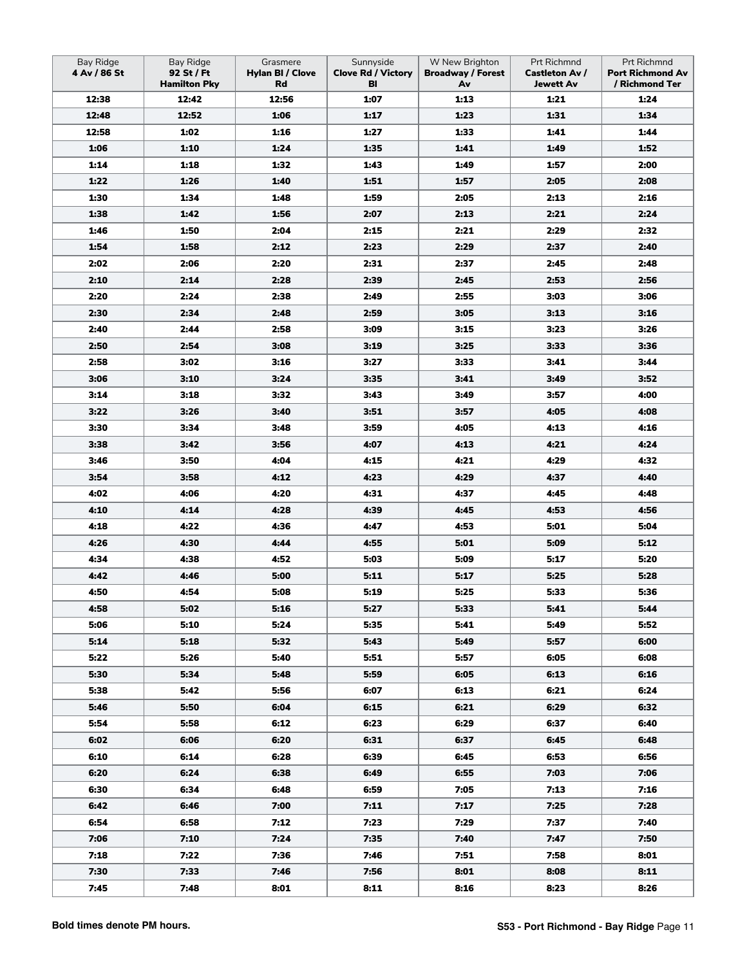| <b>Bay Ridge</b><br>4 Av / 86 St | <b>Bay Ridge</b><br>92 St / Ft<br><b>Hamilton Pky</b> | Grasmere<br>Hylan BI / Clove<br>Rd | Sunnyside<br><b>Clove Rd / Victory</b><br>BI | W New Brighton<br><b>Broadway / Forest</b><br>Av | Prt Richmnd<br><b>Castleton Av /</b><br><b>Jewett Av</b> | Prt Richmnd<br><b>Port Richmond Av</b><br>/ Richmond Ter |
|----------------------------------|-------------------------------------------------------|------------------------------------|----------------------------------------------|--------------------------------------------------|----------------------------------------------------------|----------------------------------------------------------|
| 12:38                            | 12:42                                                 | 12:56                              | 1:07                                         | 1:13                                             | 1:21                                                     | 1:24                                                     |
| 12:48                            | 12:52                                                 | 1:06                               | 1:17                                         | 1:23                                             | 1:31                                                     | 1:34                                                     |
| 12:58                            | 1:02                                                  | 1:16                               | 1:27                                         | 1:33                                             | 1:41                                                     | 1:44                                                     |
| 1:06                             | 1:10                                                  | 1:24                               | 1:35                                         | 1:41                                             | 1:49                                                     | 1:52                                                     |
| 1:14                             | 1:18                                                  | 1:32                               | 1:43                                         | 1:49                                             | 1:57                                                     | 2:00                                                     |
| 1:22                             | 1:26                                                  | 1:40                               | 1:51                                         | 1:57                                             | 2:05                                                     | 2:08                                                     |
| 1:30                             | 1:34                                                  | 1:48                               | 1:59                                         | 2:05                                             | 2:13                                                     | 2:16                                                     |
| 1:38                             | 1:42                                                  | 1:56                               | 2:07                                         | 2:13                                             | 2:21                                                     | 2:24                                                     |
| 1:46                             | 1:50                                                  | 2:04                               | 2:15                                         | 2:21                                             | 2:29                                                     | 2:32                                                     |
| 1:54                             | 1:58                                                  | 2:12                               | 2:23                                         | 2:29                                             | 2:37                                                     | 2:40                                                     |
| 2:02                             | 2:06                                                  | 2:20                               | 2:31                                         | 2:37                                             | 2:45                                                     | 2:48                                                     |
| 2:10                             | 2:14                                                  | 2:28                               | 2:39                                         | 2:45                                             | 2:53                                                     | 2:56                                                     |
| 2:20                             | 2:24                                                  | 2:38                               | 2:49                                         | 2:55                                             | 3:03                                                     | 3:06                                                     |
| 2:30                             | 2:34                                                  | 2:48                               | 2:59                                         | 3:05                                             | 3:13                                                     | 3:16                                                     |
| 2:40                             | 2:44                                                  | 2:58                               | 3:09                                         | 3:15                                             | 3:23                                                     | 3:26                                                     |
| 2:50                             | 2:54                                                  | 3:08                               | 3:19                                         | 3:25                                             | 3:33                                                     | 3:36                                                     |
| 2:58                             | 3:02                                                  | 3:16                               | 3:27                                         | 3:33                                             | 3:41                                                     | 3:44                                                     |
| 3:06                             | 3:10                                                  | 3:24                               | 3:35                                         | 3:41                                             | 3:49                                                     | 3:52                                                     |
| 3:14                             | 3:18                                                  | 3:32                               | 3:43                                         | 3:49                                             | 3:57                                                     | 4:00                                                     |
| 3:22                             | 3:26                                                  | 3:40                               | 3:51                                         | 3:57                                             | 4:05                                                     | 4:08                                                     |
| 3:30                             | 3:34                                                  | 3:48                               | 3:59                                         | 4:05                                             | 4:13                                                     | 4:16                                                     |
| 3:38                             | 3:42                                                  | 3:56                               | 4:07                                         | 4:13                                             | 4:21                                                     | 4:24                                                     |
| 3:46                             | 3:50                                                  | 4:04                               | 4:15                                         | 4:21                                             | 4:29                                                     | 4:32                                                     |
| 3:54                             | 3:58                                                  | 4:12                               | 4:23                                         | 4:29                                             | 4:37                                                     | 4:40                                                     |
| 4:02                             | 4:06                                                  | 4:20                               | 4:31                                         | 4:37                                             | 4:45                                                     | 4:48                                                     |
| 4:10                             | 4:14                                                  | 4:28                               | 4:39                                         | 4:45                                             | 4:53                                                     | 4:56                                                     |
| 4:18                             | 4:22                                                  | 4:36                               | 4:47                                         | 4:53                                             | 5:01                                                     | 5:04                                                     |
| 4:26                             | 4:30                                                  | 4:44                               | 4:55                                         | 5:01                                             | 5:09                                                     | 5:12                                                     |
| 4:34                             | 4:38                                                  | 4:52                               | 5:03                                         | 5:09                                             | 5:17                                                     | 5:20                                                     |
| 4:42                             | 4:46                                                  | 5:00                               | 5:11                                         | 5:17                                             | 5:25                                                     | 5:28                                                     |
| 4:50                             | 4:54                                                  | 5:08                               | 5:19                                         | 5:25                                             | 5:33                                                     | 5:36                                                     |
| 4:58                             | 5:02                                                  | 5:16                               | 5:27                                         | 5:33                                             | 5:41                                                     | 5:44                                                     |
| 5:06                             | 5:10                                                  | 5:24                               | 5:35                                         | 5:41                                             | 5:49                                                     | 5:52                                                     |
| 5:14                             | 5:18                                                  | 5:32                               | 5:43                                         | 5:49                                             | 5:57                                                     | 6:00                                                     |
| 5:22                             | 5:26                                                  | 5:40                               | 5:51                                         | 5:57                                             | 6:05                                                     | 6:08                                                     |
| 5:30                             | 5:34                                                  | 5:48                               | 5:59                                         | 6:05                                             | 6:13                                                     | 6:16                                                     |
| 5:38                             | 5:42                                                  | 5:56                               | 6:07                                         | 6:13                                             | 6:21                                                     | 6:24                                                     |
| 5:46                             | 5:50                                                  | 6:04                               | 6:15                                         | 6:21                                             | 6:29                                                     | 6:32                                                     |
| 5:54                             | 5:58                                                  | 6:12                               | 6:23                                         | 6:29                                             | 6:37                                                     | 6:40                                                     |
| 6:02                             | 6:06                                                  | 6:20                               | 6:31                                         | 6:37                                             | 6:45                                                     | 6:48                                                     |
| 6:10                             | 6:14                                                  | 6:28                               | 6:39                                         | 6:45                                             | 6:53                                                     | 6:56                                                     |
| 6:20                             | 6:24                                                  | 6:38                               | 6:49                                         | 6:55                                             | 7:03                                                     | 7:06                                                     |
| 6:30                             | 6:34                                                  | 6:48                               | 6:59                                         | 7:05                                             | 7:13                                                     | 7:16                                                     |
| 6:42                             | 6:46                                                  | 7:00                               | 7:11                                         | 7:17                                             | 7:25                                                     | 7:28                                                     |
| 6:54                             | 6:58                                                  | 7:12                               | 7:23                                         | 7:29                                             | 7:37                                                     | 7:40                                                     |
| 7:06                             | 7:10                                                  | 7:24                               | 7:35                                         | 7:40                                             | 7:47                                                     | 7:50                                                     |
| 7:18                             | 7:22                                                  | 7:36                               | 7:46                                         | 7:51                                             | 7:58                                                     | 8:01                                                     |
| 7:30                             | 7:33                                                  | 7:46                               | 7:56                                         | 8:01                                             | 8:08                                                     | 8:11                                                     |
| 7:45                             | 7:48                                                  | 8:01                               | 8:11                                         | 8:16                                             | 8:23                                                     | 8:26                                                     |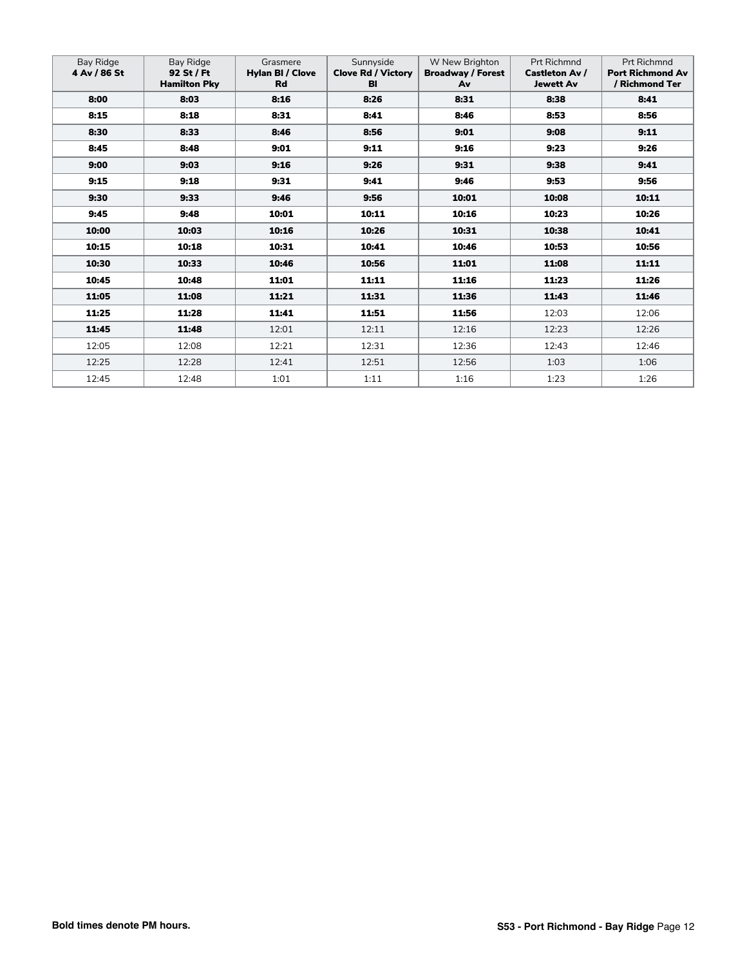| Bay Ridge<br>4 Av / 86 St | Bay Ridge<br>92 St / Ft<br><b>Hamilton Pky</b> | Grasmere<br><b>Hylan BI / Clove</b><br><b>Rd</b> | Sunnyside<br><b>Clove Rd / Victory</b><br>BI | W New Brighton<br><b>Broadway / Forest</b><br>Av | <b>Prt Richmnd</b><br><b>Castleton Av /</b><br><b>Jewett Av</b> | <b>Prt Richmnd</b><br><b>Port Richmond Av</b><br>/ Richmond Ter |
|---------------------------|------------------------------------------------|--------------------------------------------------|----------------------------------------------|--------------------------------------------------|-----------------------------------------------------------------|-----------------------------------------------------------------|
| 8:00                      | 8:03                                           | 8:16                                             | 8:26                                         | 8:31                                             | 8:38                                                            | 8:41                                                            |
| 8:15                      | 8:18                                           | 8:31                                             | 8:41                                         | 8:46                                             | 8:53                                                            | 8:56                                                            |
| 8:30                      | 8:33                                           | 8:46                                             | 8:56                                         | 9:01                                             | 9:08                                                            | 9:11                                                            |
| 8:45                      | 8:48                                           | 9:01                                             | 9:11                                         | 9:16                                             | 9:23                                                            | 9:26                                                            |
| 9:00                      | 9:03                                           | 9:16                                             | 9:26                                         | 9:31                                             | 9:38                                                            | 9:41                                                            |
| 9:15                      | 9:18                                           | 9:31                                             | 9:41                                         | 9:46                                             | 9:53                                                            | 9:56                                                            |
| 9:30                      | 9:33                                           | 9:46                                             | 9:56                                         | 10:01                                            | 10:08                                                           | 10:11                                                           |
| 9:45                      | 9:48                                           | 10:01                                            | 10:11                                        | 10:16                                            | 10:23                                                           | 10:26                                                           |
| 10:00                     | 10:03                                          | 10:16                                            | 10:26                                        | 10:31                                            | 10:38                                                           | 10:41                                                           |
| 10:15                     | 10:18                                          | 10:31                                            | 10:41                                        | 10:46                                            | 10:53                                                           | 10:56                                                           |
| 10:30                     | 10:33                                          | 10:46                                            | 10:56                                        | 11:01                                            | 11:08                                                           | 11:11                                                           |
| 10:45                     | 10:48                                          | 11:01                                            | 11:11                                        | 11:16                                            | 11:23                                                           | 11:26                                                           |
| 11:05                     | 11:08                                          | 11:21                                            | 11:31                                        | 11:36                                            | 11:43                                                           | 11:46                                                           |
| 11:25                     | 11:28                                          | 11:41                                            | 11:51                                        | 11:56                                            | 12:03                                                           | 12:06                                                           |
| 11:45                     | 11:48                                          | 12:01                                            | 12:11                                        | 12:16                                            | 12:23                                                           | 12:26                                                           |
| 12:05                     | 12:08                                          | 12:21                                            | 12:31                                        | 12:36                                            | 12:43                                                           | 12:46                                                           |
| 12:25                     | 12:28                                          | 12:41                                            | 12:51                                        | 12:56                                            | 1:03                                                            | 1:06                                                            |
| 12:45                     | 12:48                                          | 1:01                                             | 1:11                                         | 1:16                                             | 1:23                                                            | 1:26                                                            |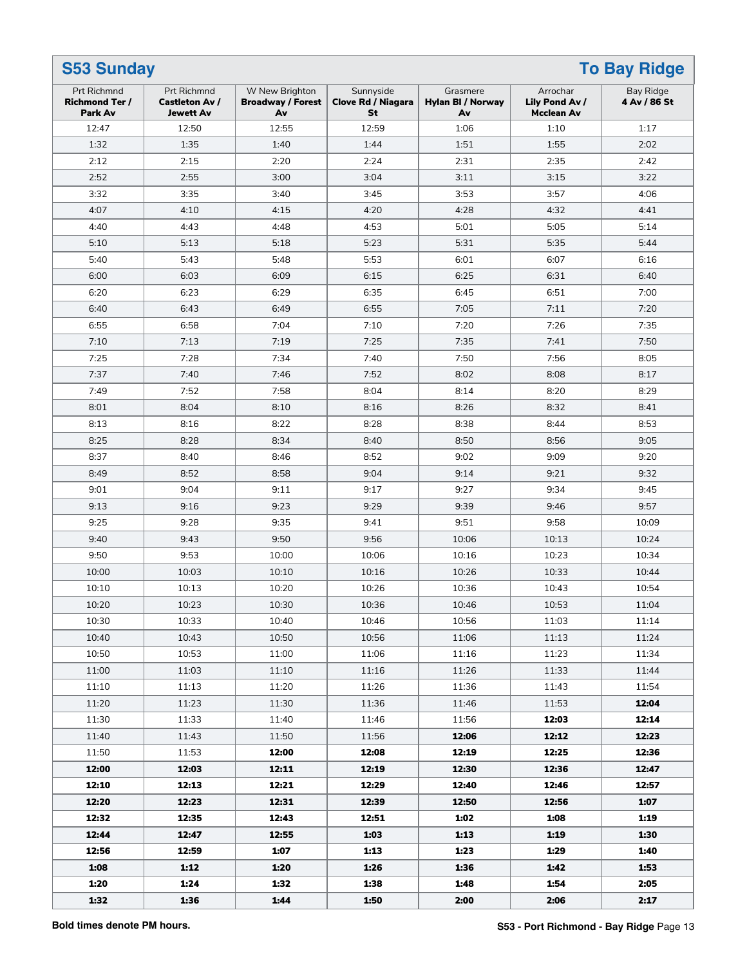| <b>S53 Sunday</b><br><b>To Bay Ridge</b>        |                                                          |                                                  |                                              |                                            |                                                 |                           |
|-------------------------------------------------|----------------------------------------------------------|--------------------------------------------------|----------------------------------------------|--------------------------------------------|-------------------------------------------------|---------------------------|
| Prt Richmnd<br><b>Richmond Ter /</b><br>Park Av | Prt Richmnd<br><b>Castleton Av /</b><br><b>Jewett Av</b> | W New Brighton<br><b>Broadway / Forest</b><br>Av | Sunnyside<br><b>Clove Rd / Niagara</b><br>St | Grasmere<br><b>Hylan BI / Norway</b><br>Av | Arrochar<br>Lily Pond Av /<br><b>Mcclean Av</b> | Bay Ridge<br>4 Av / 86 St |
| 12:47                                           | 12:50                                                    | 12:55                                            | 12:59                                        | 1:06                                       | 1:10                                            | 1:17                      |
| 1:32                                            | 1:35                                                     | 1:40                                             | 1:44                                         | 1:51                                       | 1:55                                            | 2:02                      |
| 2:12                                            | 2:15                                                     | 2:20                                             | 2:24                                         | 2:31                                       | 2:35                                            | 2:42                      |
| 2:52                                            | 2:55                                                     | 3:00                                             | 3:04                                         | 3:11                                       | 3:15                                            | 3:22                      |
| 3:32                                            | 3:35                                                     | 3:40                                             | 3:45                                         | 3:53                                       | 3:57                                            | 4:06                      |
| 4:07                                            | 4:10                                                     | 4:15                                             | 4:20                                         | 4:28                                       | 4:32                                            | 4:41                      |
| 4:40                                            | 4:43                                                     | 4:48                                             | 4:53                                         | 5:01                                       | 5:05                                            | 5:14                      |
| 5:10                                            | 5:13                                                     | 5:18                                             | 5:23                                         | 5:31                                       | 5:35                                            | 5:44                      |
| 5:40                                            | 5:43                                                     | 5:48                                             | 5:53                                         | 6:01                                       | 6:07                                            | 6:16                      |
| 6:00                                            | 6:03                                                     | 6:09                                             | 6:15                                         | 6:25                                       | 6:31                                            | 6:40                      |
| 6:20                                            | 6:23                                                     | 6:29                                             | 6:35                                         | 6:45                                       | 6:51                                            | 7:00                      |
| 6:40                                            | 6:43                                                     | 6:49                                             | 6:55                                         | 7:05                                       | 7:11                                            | 7:20                      |
| 6:55                                            | 6:58                                                     | 7:04                                             | 7:10                                         | 7:20                                       | 7:26                                            | 7:35                      |
| 7:10                                            | 7:13                                                     | 7:19                                             | 7:25                                         | 7:35                                       | 7:41                                            | 7:50                      |
| 7:25                                            | 7:28                                                     | 7:34                                             | 7:40                                         | 7:50                                       | 7:56                                            | 8:05                      |
| 7:37                                            | 7:40                                                     | 7:46                                             | 7:52                                         | 8:02                                       | 8:08                                            | 8:17                      |
| 7:49                                            | 7:52                                                     | 7:58                                             | 8:04                                         | 8:14                                       | 8:20                                            | 8:29                      |
| 8:01                                            | 8:04                                                     | 8:10                                             | 8:16                                         | 8:26                                       | 8:32                                            | 8:41                      |
| 8:13                                            | 8:16                                                     | 8:22                                             | 8:28                                         | 8:38                                       | 8:44                                            | 8:53                      |
| 8:25                                            | 8:28                                                     | 8:34                                             | 8:40                                         | 8:50                                       | 8:56                                            | 9:05                      |
| 8:37                                            | 8:40                                                     | 8:46                                             | 8:52                                         | 9:02                                       | 9:09                                            | 9:20                      |
| 8:49                                            | 8:52                                                     | 8:58                                             | 9:04                                         | 9:14                                       | 9:21                                            | 9:32                      |
| 9:01                                            | 9:04                                                     | 9:11                                             | 9:17                                         | 9:27                                       | 9:34                                            | 9:45                      |
| 9:13                                            | 9:16                                                     | 9:23                                             | 9:29                                         | 9:39                                       | 9:46                                            | 9:57                      |
| 9:25                                            | 9:28                                                     | 9:35                                             | 9:41                                         | 9:51                                       | 9:58                                            | 10:09                     |
| 9:40                                            | 9:43                                                     | 9:50                                             | 9:56                                         | 10:06                                      | 10:13                                           | 10:24                     |
| 9:50                                            | 9:53                                                     | 10:00                                            | 10:06                                        | 10:16                                      | 10:23                                           | 10:34                     |
| 10:00                                           | 10:03                                                    | 10:10                                            | 10:16                                        | 10:26                                      | 10:33                                           | 10:44                     |
| 10:10                                           | 10:13                                                    | 10:20                                            | 10:26                                        | 10:36                                      | 10:43                                           | 10:54                     |
| 10:20                                           | 10:23                                                    | 10:30                                            | 10:36                                        | 10:46                                      | 10:53                                           | 11:04                     |
| 10:30                                           | 10:33                                                    | 10:40                                            | 10:46                                        | 10:56                                      | 11:03                                           | 11:14                     |
| 10:40                                           | 10:43                                                    | 10:50                                            | 10:56                                        | 11:06                                      | 11:13                                           | 11:24                     |
| 10:50                                           | 10:53                                                    | 11:00                                            | 11:06                                        | 11:16                                      | 11:23                                           | 11:34                     |
| 11:00                                           | 11:03                                                    | 11:10                                            | 11:16                                        | 11:26                                      | 11:33                                           | 11:44                     |
| 11:10                                           | 11:13                                                    | 11:20                                            | 11:26                                        | 11:36                                      | 11:43                                           | 11:54                     |
| 11:20                                           | 11:23                                                    | 11:30                                            | 11:36                                        | 11:46                                      | 11:53                                           | 12:04                     |
| 11:30                                           | 11:33                                                    | 11:40                                            | 11:46                                        | 11:56                                      | 12:03                                           | 12:14                     |
| 11:40                                           | 11:43                                                    | 11:50                                            | 11:56                                        | 12:06                                      | 12:12                                           | 12:23                     |
| 11:50                                           | 11:53                                                    | 12:00                                            | 12:08                                        | 12:19                                      | 12:25                                           | 12:36                     |
| 12:00                                           | 12:03                                                    | 12:11                                            | 12:19                                        | 12:30                                      | 12:36                                           | 12:47                     |
| 12:10                                           | 12:13                                                    | 12:21                                            | 12:29                                        | 12:40                                      | 12:46                                           | 12:57                     |
| 12:20                                           | 12:23                                                    | 12:31                                            | 12:39                                        | 12:50                                      | 12:56                                           | 1:07                      |
| 12:32                                           | 12:35                                                    | 12:43                                            | 12:51                                        | 1:02                                       | 1:08                                            | 1:19                      |
| 12:44                                           | 12:47                                                    | 12:55                                            | 1:03                                         | 1:13                                       | 1:19                                            | 1:30                      |
| 12:56                                           | 12:59                                                    | 1:07                                             | 1:13                                         | 1:23                                       | 1:29                                            | 1:40                      |
| 1:08                                            | 1:12                                                     | 1:20                                             | 1:26                                         | 1:36                                       | 1:42                                            | 1:53                      |
| 1:20                                            | 1:24                                                     | 1:32                                             | 1:38                                         | 1:48                                       | 1:54                                            | 2:05                      |
| 1:32                                            | 1:36                                                     | 1:44                                             | 1:50                                         | 2:00                                       | 2:06                                            | 2:17                      |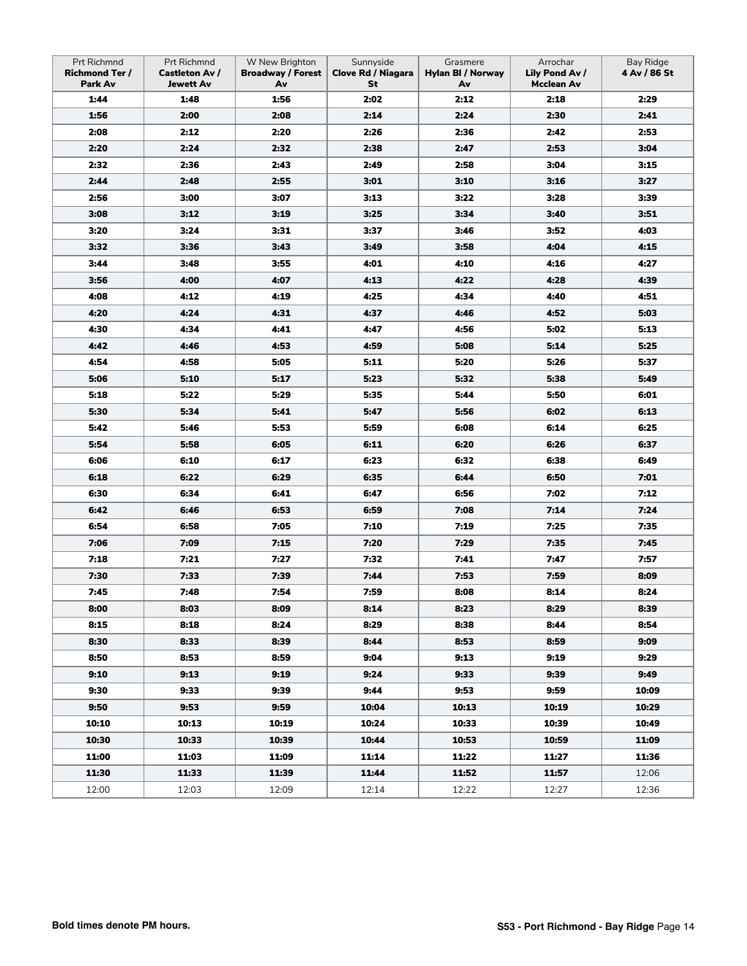| Prt Richmnd<br><b>Richmond Ter /</b><br>Park Av | Prt Richmnd<br><b>Castleton Av /</b><br><b>Jewett Av</b> | W New Brighton<br><b>Broadway / Forest</b><br>Av | Sunnyside<br><b>Clove Rd / Niagara</b><br>St | Grasmere<br><b>Hylan BI / Norway</b><br>Av | Arrochar<br>Lily Pond Av /<br><b>Mcclean Av</b> | <b>Bay Ridge</b><br>4 Av / 86 St |
|-------------------------------------------------|----------------------------------------------------------|--------------------------------------------------|----------------------------------------------|--------------------------------------------|-------------------------------------------------|----------------------------------|
| 1:44                                            | 1:48                                                     | 1:56                                             | 2:02                                         | 2:12                                       | 2:18                                            | 2:29                             |
| 1:56                                            | 2:00                                                     | 2:08                                             | 2:14                                         | 2:24                                       | 2:30                                            | 2:41                             |
| 2:08                                            | 2:12                                                     | 2:20                                             | 2:26                                         | 2:36                                       | 2:42                                            | 2:53                             |
| 2:20                                            | 2:24                                                     | 2:32                                             | 2:38                                         | 2:47                                       | 2:53                                            | 3:04                             |
| 2:32                                            | 2:36                                                     | 2:43                                             | 2:49                                         | 2:58                                       | 3:04                                            | 3:15                             |
| 2:44                                            | 2:48                                                     | 2:55                                             | 3:01                                         | 3:10                                       | 3:16                                            | 3:27                             |
| 2:56                                            | 3:00                                                     | 3:07                                             | 3:13                                         | 3:22                                       | 3:28                                            | 3:39                             |
| 3:08                                            | 3:12                                                     | 3:19                                             | 3:25                                         | 3:34                                       | 3:40                                            | 3:51                             |
| 3:20                                            | 3:24                                                     | 3:31                                             | 3:37                                         | 3:46                                       | 3:52                                            | 4:03                             |
| 3:32                                            | 3:36                                                     | 3:43                                             | 3:49                                         | 3:58                                       | 4:04                                            | 4:15                             |
| 3:44                                            | 3:48                                                     | 3:55                                             | 4:01                                         | 4:10                                       | 4:16                                            | 4:27                             |
| 3:56                                            | 4:00                                                     | 4:07                                             | 4:13                                         | 4:22                                       | 4:28                                            | 4:39                             |
| 4:08                                            | 4:12                                                     | 4:19                                             | 4:25                                         | 4:34                                       | 4:40                                            | 4:51                             |
| 4:20                                            | 4:24                                                     | 4:31                                             | 4:37                                         | 4:46                                       | 4:52                                            | 5:03                             |
| 4:30                                            | 4:34                                                     | 4:41                                             | 4:47                                         | 4:56                                       | 5:02                                            | 5:13                             |
| 4:42                                            | 4:46                                                     | 4:53                                             | 4:59                                         | 5:08                                       | 5:14                                            | 5:25                             |
| 4:54                                            | 4:58                                                     | 5:05                                             | 5:11                                         | 5:20                                       | 5:26                                            | 5:37                             |
| 5:06                                            | 5:10                                                     | 5:17                                             | 5:23                                         | 5:32                                       | 5:38                                            | 5:49                             |
| 5:18                                            | 5:22                                                     | 5:29                                             | 5:35                                         | 5:44                                       | 5:50                                            | 6:01                             |
| 5:30                                            | 5:34                                                     | 5:41                                             | 5:47                                         | 5:56                                       | 6:02                                            | 6:13                             |
| 5:42                                            | 5:46                                                     | 5:53                                             | 5:59                                         | 6:08                                       | 6:14                                            | 6:25                             |
| 5:54                                            | 5:58                                                     | 6:05                                             | 6:11                                         | 6:20                                       | 6:26                                            | 6:37                             |
| 6:06                                            | 6:10                                                     | 6:17                                             | 6:23                                         | 6:32                                       | 6:38                                            | 6:49                             |
| 6:18                                            | 6:22                                                     | 6:29                                             | 6:35                                         | 6:44                                       | 6:50                                            | 7:01                             |
| 6:30                                            | 6:34                                                     | 6:41                                             | 6:47                                         | 6:56                                       | 7:02                                            | 7:12                             |
| 6:42                                            | 6:46                                                     | 6:53                                             | 6:59                                         | 7:08                                       | 7:14                                            | 7:24                             |
| 6:54                                            | 6:58                                                     | 7:05                                             | 7:10                                         | 7:19                                       | 7:25                                            | 7:35                             |
| 7:06                                            | 7:09                                                     | 7:15                                             | 7:20                                         | 7:29                                       | 7:35                                            | 7:45                             |
| 7:18                                            | 7:21                                                     | 7:27                                             | 7:32                                         | 7:41                                       | 7:47                                            | 7:57                             |
| 7:30                                            | 7:33                                                     | 7:39                                             | 7:44                                         | 7:53                                       | 7:59                                            | 8:09                             |
| 7:45                                            | 7:48                                                     | 7:54                                             | 7:59                                         | 8:08                                       | 8:14                                            | 8:24                             |
| 8:00                                            | 8:03                                                     | 8:09                                             | 8:14                                         | 8:23                                       | 8:29                                            | 8:39                             |
| 8:15                                            | 8:18                                                     | 8:24                                             | 8:29                                         | 8:38                                       | 8:44                                            | 8:54                             |
| 8:30                                            | 8:33                                                     | 8:39                                             | 8:44                                         | 8:53                                       | 8:59                                            | 9:09                             |
| 8:50                                            | 8:53                                                     | 8:59                                             | 9:04                                         | 9:13                                       | 9:19                                            | 9:29                             |
| 9:10                                            | 9:13                                                     | 9:19                                             | 9:24                                         | 9:33                                       | 9:39                                            | 9:49                             |
| 9:30                                            | 9:33                                                     | 9:39                                             | 9:44                                         | 9:53                                       | 9:59                                            | 10:09                            |
| 9:50                                            | 9:53                                                     | 9:59                                             | 10:04                                        | 10:13                                      | 10:19                                           | 10:29                            |
| 10:10                                           | 10:13                                                    | 10:19                                            | 10:24                                        | 10:33                                      | 10:39                                           | 10:49                            |
| 10:30                                           | 10:33                                                    | 10:39                                            | 10:44                                        | 10:53                                      | 10:59                                           | 11:09                            |
| 11:00                                           | 11:03                                                    | 11:09                                            | 11:14                                        | 11:22                                      | 11:27                                           | 11:36                            |
| 11:30                                           | 11:33                                                    | 11:39                                            | 11:44                                        | 11:52                                      | 11:57                                           | 12:06                            |
| 12:00                                           | 12:03                                                    | 12:09                                            | 12:14                                        | 12:22                                      | 12:27                                           | 12:36                            |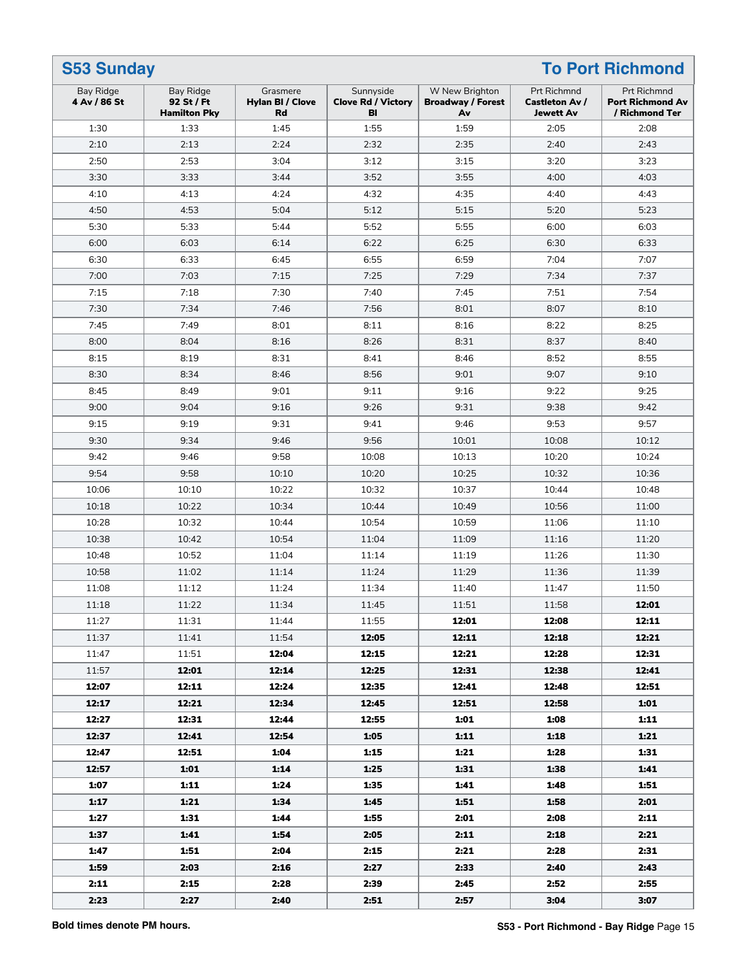| <b>S53 Sunday</b><br><b>To Port Richmond</b><br>Bay Ridge<br><b>Bay Ridge</b><br>Grasmere<br>Sunnyside<br>W New Brighton<br>Prt Richmnd |                                   |                               |                                 |                                |                                    | Prt Richmnd                               |
|-----------------------------------------------------------------------------------------------------------------------------------------|-----------------------------------|-------------------------------|---------------------------------|--------------------------------|------------------------------------|-------------------------------------------|
| 4 Av / 86 St                                                                                                                            | 92 St / Ft<br><b>Hamilton Pky</b> | <b>Hylan BI / Clove</b><br>Rd | <b>Clove Rd / Victory</b><br>BI | <b>Broadway / Forest</b><br>Av | Castleton Av /<br><b>Jewett Av</b> | <b>Port Richmond Av</b><br>/ Richmond Ter |
| 1:30                                                                                                                                    | 1:33                              | 1:45                          | 1:55                            | 1:59                           | 2:05                               | 2:08                                      |
| 2:10                                                                                                                                    | 2:13                              | 2:24                          | 2:32                            | 2:35                           | 2:40                               | 2:43                                      |
| 2:50                                                                                                                                    | 2:53                              | 3:04                          | 3:12                            | 3:15                           | 3:20                               | 3:23                                      |
| 3:30                                                                                                                                    | 3:33                              | 3:44                          | 3:52                            | 3:55                           | 4:00                               | 4:03                                      |
| 4:10                                                                                                                                    | 4:13                              | 4:24                          | 4:32                            | 4:35                           | 4:40                               | 4:43                                      |
| 4:50                                                                                                                                    | 4:53                              | 5:04                          | 5:12                            | 5:15                           | 5:20                               | 5:23                                      |
| 5:30                                                                                                                                    | 5:33                              | 5:44                          | 5:52                            | 5:55                           | 6:00                               | 6:03                                      |
| 6:00                                                                                                                                    | 6:03                              | 6:14                          | 6:22                            | 6:25                           | 6:30                               | 6:33                                      |
| 6:30                                                                                                                                    | 6:33                              | 6:45                          | 6:55                            | 6:59                           | 7:04                               | 7:07                                      |
| 7:00                                                                                                                                    | 7:03                              | 7:15                          | 7:25                            | 7:29                           | 7:34                               | 7:37                                      |
| 7:15                                                                                                                                    | 7:18                              | 7:30                          | 7:40                            | 7:45                           | 7:51                               | 7:54                                      |
| 7:30                                                                                                                                    | 7:34                              | 7:46                          | 7:56                            | 8:01                           | 8:07                               | 8:10                                      |
| 7:45                                                                                                                                    | 7:49                              | 8:01                          | 8:11                            | 8:16                           | 8:22                               | 8:25                                      |
| 8:00                                                                                                                                    | 8:04                              | 8:16                          | 8:26                            | 8:31                           | 8:37                               | 8:40                                      |
| 8:15                                                                                                                                    | 8:19                              | 8:31                          | 8:41                            | 8:46                           | 8:52                               | 8:55                                      |
| 8:30                                                                                                                                    | 8:34                              | 8:46                          | 8:56                            | 9:01                           | 9:07                               | 9:10                                      |
| 8:45                                                                                                                                    | 8:49                              | 9:01                          | 9:11                            | 9:16                           | 9:22                               | 9:25                                      |
| 9:00                                                                                                                                    | 9:04                              | 9:16                          | 9:26                            | 9:31                           | 9:38                               | 9:42                                      |
| 9:15                                                                                                                                    | 9:19                              | 9:31                          | 9:41                            | 9:46                           | 9:53                               | 9:57                                      |
| 9:30                                                                                                                                    | 9:34                              | 9:46                          | 9:56                            | 10:01                          | 10:08                              | 10:12                                     |
| 9:42                                                                                                                                    | 9:46                              | 9:58                          | 10:08                           | 10:13                          | 10:20                              | 10:24                                     |
| 9:54                                                                                                                                    | 9:58                              | 10:10                         | 10:20                           | 10:25                          | 10:32                              | 10:36                                     |
| 10:06                                                                                                                                   | 10:10                             | 10:22                         | 10:32                           | 10:37                          | 10:44                              | 10:48                                     |
| 10:18                                                                                                                                   | 10:22                             | 10:34                         | 10:44                           | 10:49                          | 10:56                              | 11:00                                     |
| 10:28                                                                                                                                   | 10:32                             | 10:44                         | 10:54                           | 10:59                          | 11:06                              | 11:10                                     |
| 10:38                                                                                                                                   | 10:42                             | 10:54                         | 11:04                           | 11:09                          | 11:16                              | 11:20                                     |
| 10:48                                                                                                                                   | 10:52                             | 11:04                         | 11:14                           | 11:19                          | 11:26                              | 11:30                                     |
| 10:58                                                                                                                                   | 11:02                             | 11:14                         | 11:24                           | 11:29                          | 11:36                              | 11:39                                     |
| 11:08                                                                                                                                   | 11:12                             | 11:24                         | 11:34                           | 11:40                          | 11:47                              | 11:50                                     |
| 11:18                                                                                                                                   | 11:22                             | 11:34                         | 11:45                           | 11:51                          | 11:58                              | 12:01                                     |
| 11:27                                                                                                                                   | 11:31                             | 11:44                         | 11:55                           | 12:01                          | 12:08                              | 12:11                                     |
| 11:37                                                                                                                                   | 11:41                             | 11:54                         | 12:05                           | 12:11                          | 12:18                              | 12:21                                     |
| 11:47                                                                                                                                   | 11:51                             | 12:04                         | 12:15                           | 12:21                          | 12:28                              | 12:31                                     |
| 11:57                                                                                                                                   | 12:01                             | 12:14                         | 12:25                           | 12:31                          | 12:38                              | 12:41                                     |
| 12:07                                                                                                                                   | 12:11                             | 12:24                         | 12:35                           | 12:41                          | 12:48                              | 12:51                                     |
| 12:17                                                                                                                                   | 12:21                             | 12:34                         | 12:45                           | 12:51                          | 12:58                              | 1:01                                      |
| 12:27                                                                                                                                   | 12:31                             | 12:44                         | 12:55                           | 1:01                           | 1:08                               | 1:11                                      |
| 12:37                                                                                                                                   | 12:41                             | 12:54                         | 1:05                            | 1:11                           | 1:18                               | 1:21                                      |
| 12:47                                                                                                                                   | 12:51                             | 1:04                          | 1:15                            | 1:21                           | 1:28                               | 1:31                                      |
| 12:57                                                                                                                                   | 1:01                              | 1:14                          | 1:25                            | 1:31                           | 1:38                               | 1:41                                      |
| 1:07                                                                                                                                    | 1:11                              | 1:24                          | 1:35                            | 1:41                           | 1:48                               | 1:51                                      |
| 1:17                                                                                                                                    | 1:21                              | 1:34                          | 1:45                            | 1:51                           | 1:58                               | 2:01                                      |
| 1:27                                                                                                                                    | 1:31                              | 1:44                          | 1:55                            | 2:01                           | 2:08                               | 2:11                                      |
| 1:37                                                                                                                                    | 1:41                              | 1:54                          | 2:05                            | 2:11                           | 2:18                               | 2:21                                      |
| 1:47                                                                                                                                    | 1:51                              | 2:04                          | 2:15                            | 2:21                           | 2:28                               | 2:31                                      |
| 1:59                                                                                                                                    | 2:03                              | 2:16                          | 2:27                            | 2:33                           | 2:40                               | 2:43                                      |
| 2:11                                                                                                                                    | 2:15                              | 2:28                          | 2:39                            | 2:45                           | 2:52                               | 2:55                                      |
| 2:23                                                                                                                                    | 2:27                              | 2:40                          | 2:51                            | 2:57                           | 3:04                               | 3:07                                      |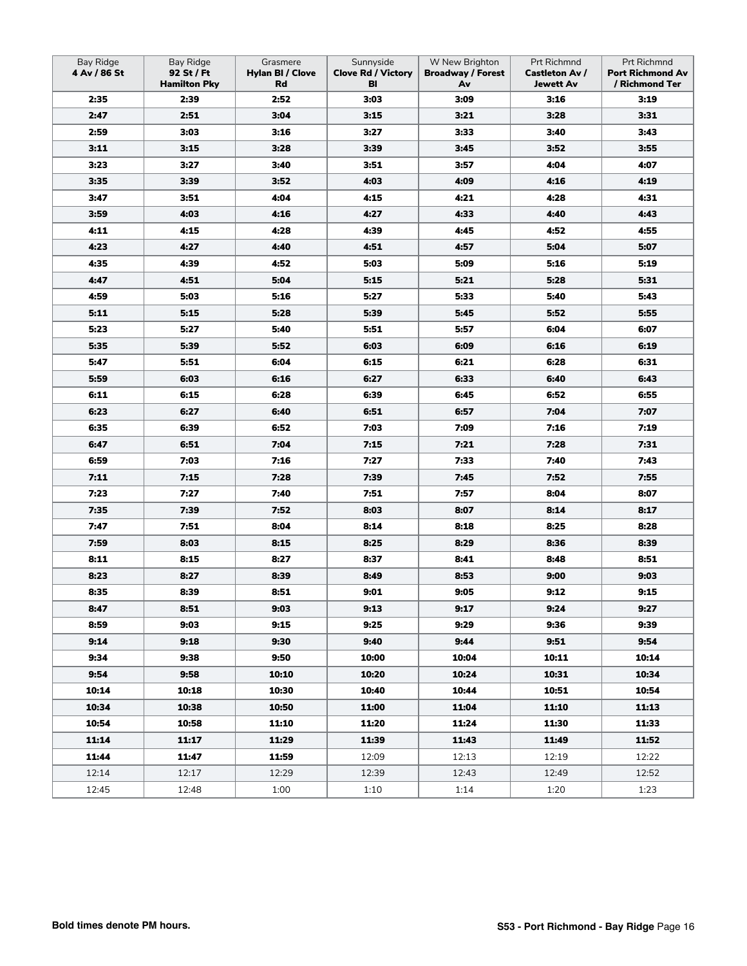| <b>Bay Ridge</b><br>4 Av / 86 St | <b>Bay Ridge</b><br>92 St / Ft<br><b>Hamilton Pky</b> | Grasmere<br>Hylan BI / Clove<br>Rd | Sunnyside<br><b>Clove Rd / Victory</b><br>BI | W New Brighton<br><b>Broadway / Forest</b><br>Av | Prt Richmnd<br><b>Castleton Av /</b><br><b>Jewett Av</b> | Prt Richmnd<br><b>Port Richmond Av</b><br>/ Richmond Ter |
|----------------------------------|-------------------------------------------------------|------------------------------------|----------------------------------------------|--------------------------------------------------|----------------------------------------------------------|----------------------------------------------------------|
| 2:35                             | 2:39                                                  | 2:52                               | 3:03                                         | 3:09                                             | 3:16                                                     | 3:19                                                     |
| 2:47                             | 2:51                                                  | 3:04                               | 3:15                                         | 3:21                                             | 3:28                                                     | 3:31                                                     |
| 2:59                             | 3:03                                                  | 3:16                               | 3:27                                         | 3:33                                             | 3:40                                                     | 3:43                                                     |
| 3:11                             | 3:15                                                  | 3:28                               | 3:39                                         | 3:45                                             | 3:52                                                     | 3:55                                                     |
| 3:23                             | 3:27                                                  | 3:40                               | 3:51                                         | 3:57                                             | 4:04                                                     | 4:07                                                     |
| 3:35                             | 3:39                                                  | 3:52                               | 4:03                                         | 4:09                                             | 4:16                                                     | 4:19                                                     |
| 3:47                             | 3:51                                                  | 4:04                               | 4:15                                         | 4:21                                             | 4:28                                                     | 4:31                                                     |
| 3:59                             | 4:03                                                  | 4:16                               | 4:27                                         | 4:33                                             | 4:40                                                     | 4:43                                                     |
| 4:11                             | 4:15                                                  | 4:28                               | 4:39                                         | 4:45                                             | 4:52                                                     | 4:55                                                     |
| 4:23                             | 4:27                                                  | 4:40                               | 4:51                                         | 4:57                                             | 5:04                                                     | 5:07                                                     |
| 4:35                             | 4:39                                                  | 4:52                               | 5:03                                         | 5:09                                             | 5:16                                                     | 5:19                                                     |
| 4:47                             | 4:51                                                  | 5:04                               | 5:15                                         | 5:21                                             | 5:28                                                     | 5:31                                                     |
| 4:59                             | 5:03                                                  | 5:16                               | 5:27                                         | 5:33                                             | 5:40                                                     | 5:43                                                     |
| 5:11                             | 5:15                                                  | 5:28                               | 5:39                                         | 5:45                                             | 5:52                                                     | 5:55                                                     |
| 5:23                             | 5:27                                                  | 5:40                               | 5:51                                         | 5:57                                             | 6:04                                                     | 6:07                                                     |
| 5:35                             | 5:39                                                  | 5:52                               | 6:03                                         | 6:09                                             | 6:16                                                     | 6:19                                                     |
| 5:47                             | 5:51                                                  | 6:04                               | 6:15                                         | 6:21                                             | 6:28                                                     | 6:31                                                     |
| 5:59                             | 6:03                                                  | 6:16                               | 6:27                                         | 6:33                                             | 6:40                                                     | 6:43                                                     |
| 6:11                             | 6:15                                                  | 6:28                               | 6:39                                         | 6:45                                             | 6:52                                                     | 6:55                                                     |
| 6:23                             | 6:27                                                  | 6:40                               | 6:51                                         | 6:57                                             | 7:04                                                     | 7:07                                                     |
| 6:35                             | 6:39                                                  | 6:52                               | 7:03                                         | 7:09                                             | 7:16                                                     | 7:19                                                     |
| 6:47                             | 6:51                                                  | 7:04                               | 7:15                                         | 7:21                                             | 7:28                                                     | 7:31                                                     |
| 6:59                             | 7:03                                                  | 7:16                               | 7:27                                         | 7:33                                             | 7:40                                                     | 7:43                                                     |
| 7:11                             | 7:15                                                  | 7:28                               | 7:39                                         | 7:45                                             | 7:52                                                     | 7:55                                                     |
| 7:23                             | 7:27                                                  | 7:40                               | 7:51                                         | 7:57                                             | 8:04                                                     | 8:07                                                     |
| 7:35                             | 7:39                                                  | 7:52                               | 8:03                                         | 8:07                                             | 8:14                                                     | 8:17                                                     |
| 7:47                             | 7:51                                                  | 8:04                               | 8:14                                         | 8:18                                             | 8:25                                                     | 8:28                                                     |
| 7:59                             | 8:03                                                  | 8:15                               | 8:25                                         | 8:29                                             | 8:36                                                     | 8:39                                                     |
| 8:11                             | 8:15                                                  | 8:27                               | 8:37                                         | 8:41                                             | 8:48                                                     | 8:51                                                     |
| 8:23                             | 8:27                                                  | 8:39                               | 8:49                                         | 8:53                                             | 9:00                                                     | 9:03                                                     |
| 8:35                             | 8:39                                                  | 8:51                               | 9:01                                         | 9:05                                             | 9:12                                                     | 9:15                                                     |
| 8:47                             | 8:51                                                  | 9:03                               | 9:13                                         | 9:17                                             | 9:24                                                     | 9:27                                                     |
| 8:59                             | 9:03                                                  | 9:15                               | 9:25                                         | 9:29                                             | 9:36                                                     | 9:39                                                     |
| 9:14                             | 9:18                                                  | 9:30                               | 9:40                                         | 9:44                                             | 9:51                                                     | 9:54                                                     |
| 9:34                             | 9:38                                                  | 9:50                               | 10:00                                        | 10:04                                            | 10:11                                                    | 10:14                                                    |
| 9:54                             | 9:58                                                  | 10:10                              | 10:20                                        | 10:24                                            | 10:31                                                    | 10:34                                                    |
| 10:14                            | 10:18                                                 | 10:30                              | 10:40                                        | 10:44                                            | 10:51                                                    | 10:54                                                    |
| 10:34                            | 10:38                                                 | 10:50                              | 11:00                                        | 11:04                                            | 11:10                                                    | 11:13                                                    |
| 10:54                            | 10:58                                                 | 11:10                              | 11:20                                        | 11:24                                            | 11:30                                                    | 11:33                                                    |
| 11:14                            | 11:17                                                 | 11:29                              | 11:39                                        | 11:43                                            | 11:49                                                    | 11:52                                                    |
| 11:44                            | 11:47                                                 | 11:59                              | 12:09                                        | 12:13                                            | 12:19                                                    | 12:22                                                    |
| 12:14                            | 12:17                                                 | 12:29                              | 12:39                                        | 12:43                                            | 12:49                                                    | 12:52                                                    |
| 12:45                            | 12:48                                                 | 1:00                               | 1:10                                         | 1:14                                             | 1:20                                                     | 1:23                                                     |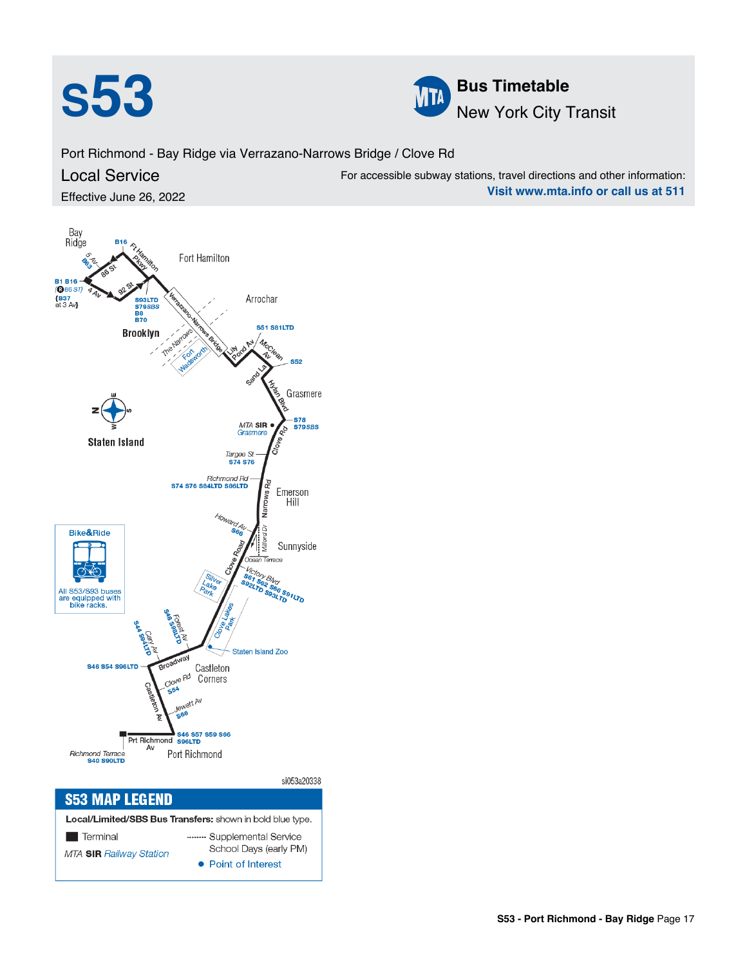



**Visit www.mta.info or call us at 511**

Port Richmond - Bay Ridge via Verrazano-Narrows Bridge / Clove Rd Local Service Effective June 26, 2022 For accessible subway stations, travel directions and other information:

Bay<br>Ridge Fort Hamilton **B1 B16-**<br>(**@**86 S7)  ${BS7}$  at 3 Av Arrochar S93LTD<br>S79SBS **B8**<br>**B70 S51 S81LTD Brooklyn S52** Grasmere **S78<br>S79SBS** MTA SIR<br>Grasmere **Staten Island** Targee St - Richmond Rd<br>S74 S76 S84LTD S86LTD vs Rd Emerson Hill Bike&Ride Sunnyside All S53/S93 buses<br>are equipped with<br>bike racks. <sup>56</sup>S91LTD Staten Island Zoo **S46 S54 S96LTD** Castleton **Jove Rd** Corners Prt Richmond S46 S57 S59 S66 |<br>Richmond Terrace<br>**S40 S90LTD** Port Richmond si053a20338 **S53 MAP LEGEND** Local/Limited/SBS Bus Transfers: shown in bold blue type

| <b>LOCAL LITTLE CODD BUS TRIBERS.</b> SHOWELL DOIG DIGE TYPE. |                        |  |  |  |  |
|---------------------------------------------------------------|------------------------|--|--|--|--|
| l Terminal<br><b>The Contract</b>                             | Supplemental Service   |  |  |  |  |
| <b>MTA SIR Railway Station</b>                                | School Days (early PM) |  |  |  |  |
|                                                               | • Point of Interest    |  |  |  |  |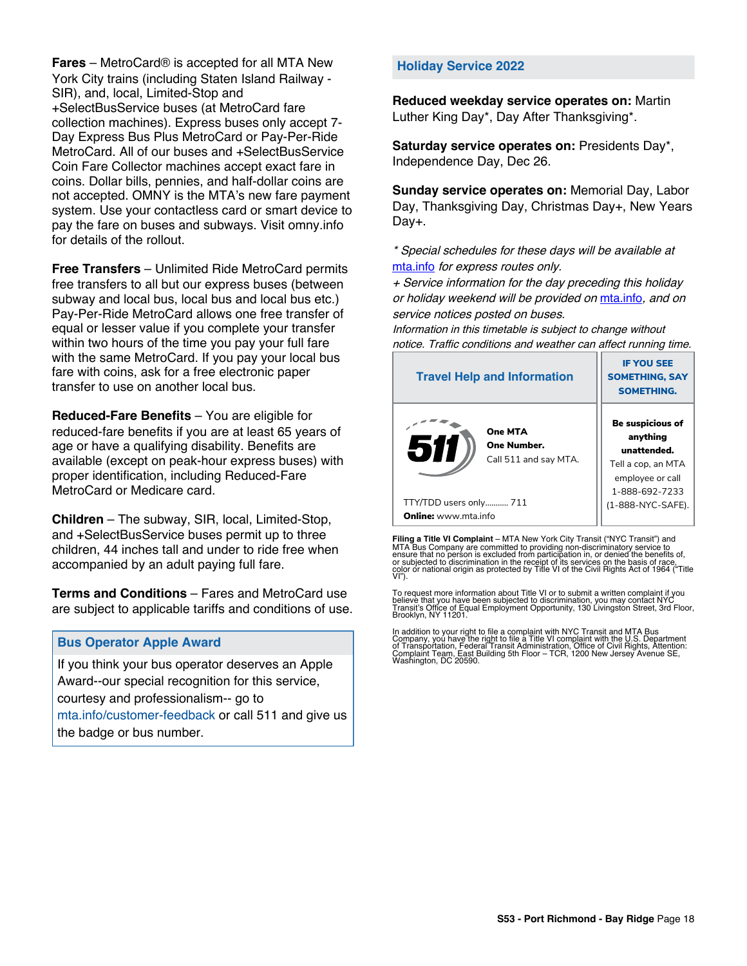**Fares** – MetroCard® is accepted for all MTA New York City trains (including Staten Island Railway - SIR), and, local, Limited-Stop and +SelectBusService buses (at MetroCard fare collection machines). Express buses only accept 7- Day Express Bus Plus MetroCard or Pay-Per-Ride MetroCard. All of our buses and +SelectBusService Coin Fare Collector machines accept exact fare in coins. Dollar bills, pennies, and half-dollar coins are not accepted. OMNY is the MTA's new fare payment system. Use your contactless card or smart device to pay the fare on buses and subways. Visit omny.info for details of the rollout.

**Free Transfers** – Unlimited Ride MetroCard permits free transfers to all but our express buses (between subway and local bus, local bus and local bus etc.) Pay-Per-Ride MetroCard allows one free transfer of equal or lesser value if you complete your transfer within two hours of the time you pay your full fare with the same MetroCard. If you pay your local bus fare with coins, ask for a free electronic paper transfer to use on another local bus.

**Reduced-Fare Benefits** – You are eligible for reduced-fare benefits if you are at least 65 years of age or have a qualifying disability. Benefits are available (except on peak-hour express buses) with proper identification, including Reduced-Fare MetroCard or Medicare card.

**Children** – The subway, SIR, local, Limited-Stop, and +SelectBusService buses permit up to three children, 44 inches tall and under to ride free when accompanied by an adult paying full fare.

**Terms and Conditions** – Fares and MetroCard use are subject to applicable tariffs and conditions of use.

## **Bus Operator Apple Award**

If you think your bus operator deserves an Apple Award--our special recognition for this service, courtesy and professionalism-- go to mta.info/customer-feedback or call 511 and give us the badge or bus number.

## **Holiday Service 2022**

**Reduced weekday service operates on:** Martin Luther King Day\*, Day After Thanksgiving\*.

**Saturday service operates on:** Presidents Day\*, Independence Day, Dec 26.

**Sunday service operates on:** Memorial Day, Labor Day, Thanksgiving Day, Christmas Day+, New Years Day+.

\* Special schedules for these days will be available at [mta.info](https://new.mta.info/) for express routes only.

+ Service information for the day preceding this holiday or holiday weekend will be provided on [mta.info](https://new.mta.info/), and on service notices posted on buses.

Information in this timetable is subject to change without notice. Traffic conditions and weather can affect running time.

| <b>Travel Help and Information</b>                    | <b>IF YOU SEE</b><br><b>SOMETHING, SAY</b><br><b>SOMETHING.</b>                                                |
|-------------------------------------------------------|----------------------------------------------------------------------------------------------------------------|
| One MTA<br>51<br>One Number.<br>Call 511 and say MTA. | <b>Be suspicious of</b><br>anything<br>unattended.<br>Tell a cop, an MTA<br>employee or call<br>1-888-692-7233 |
| TTY/TDD users only 711                                | (1-888-NYC-SAFE).                                                                                              |
| <b>Online:</b> www.mta.info                           |                                                                                                                |

**Filing a Title VI Complaint** – MTA New York City Transit ("NYC Transit") and<br>MTA Bus Company are committed to providing non-discriminatory service to<br>ensure that no person is excluded from participation in, or denied the

To request more information about Title VI or to submit a written complaint if you believe that you have been subjected to discrimination, you may contact NYC<br>Transit's Office of Equal Employment Opportunity, 130 Livingston Street, 3rd Floor,<br>Brooklyn, NY 11201.

In addition to your right to file a complaint with NYC Transit and MTA Bus<br>Company, you have the right to file a Title VI complaint with the U.S. Department<br>of Transportation, Federal Transit Administration, Office of Civi